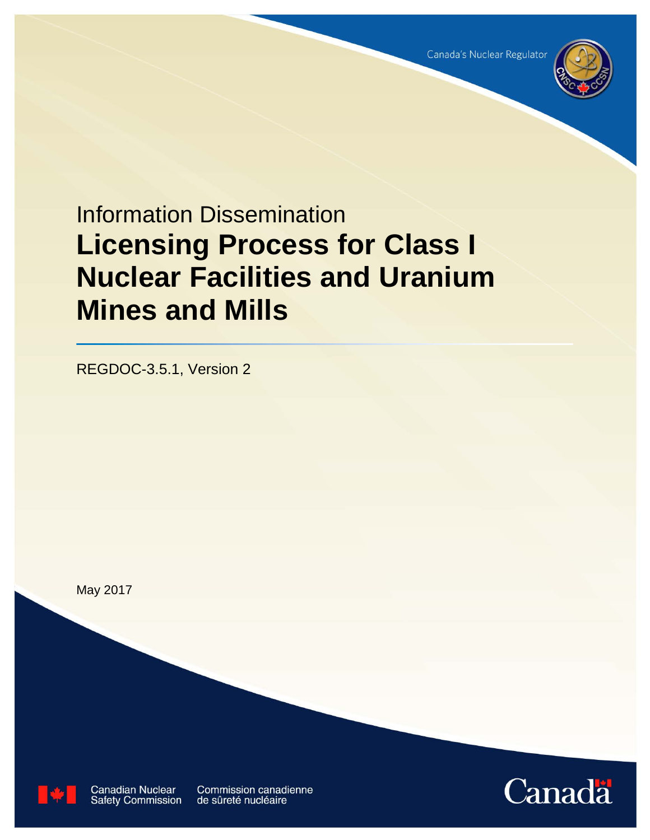

# Information Dissemination **Licensing Process for Class I Nuclear Facilities and Uranium Mines and Mills**

REGDOC-3.5.1, Version 2

May 2017



**Canadian Nuclear Safety Commission** 

Commission canadienne de sûreté nucléaire

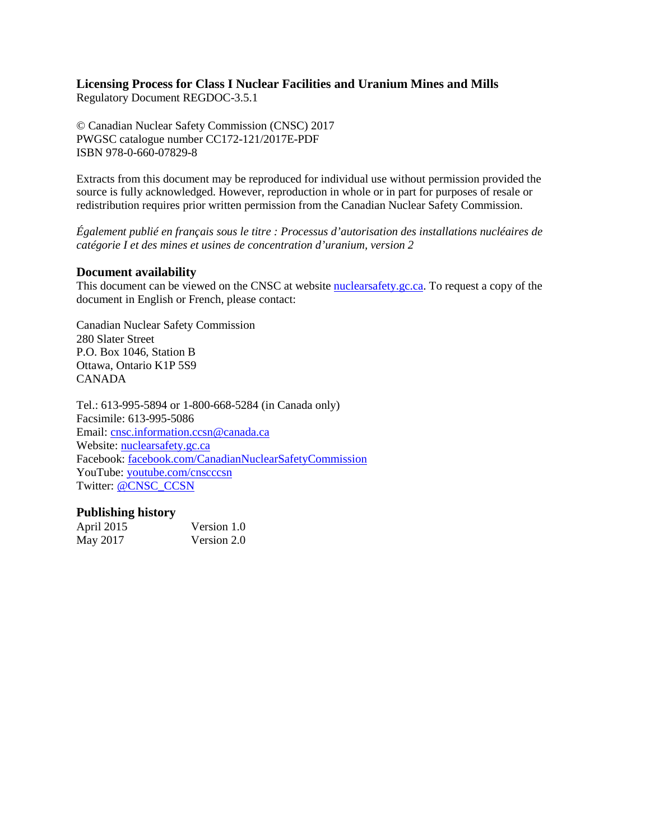# **Licensing Process for Class I Nuclear Facilities and Uranium Mines and Mills**

Regulatory Document REGDOC-3.5.1

© Canadian Nuclear Safety Commission (CNSC) 2017 PWGSC catalogue number CC172-121/2017E-PDF ISBN 978-0-660-07829-8

Extracts from this document may be reproduced for individual use without permission provided the source is fully acknowledged. However, reproduction in whole or in part for purposes of resale or redistribution requires prior written permission from the Canadian Nuclear Safety Commission.

*Également publié en français sous le titre : Processus d'autorisation des installations nucléaires de catégorie I et des mines et usines de concentration d'uranium, version 2*

#### **Document availability**

This document can be viewed on the CNSC at website **nuclearsafety**, gc.ca. To request a copy of the document in English or French, please contact:

Canadian Nuclear Safety Commission 280 Slater Street P.O. Box 1046, Station B Ottawa, Ontario K1P 5S9 CANADA

Tel.: 613-995-5894 or 1-800-668-5284 (in Canada only) Facsimile: 613-995-5086 Email: [cnsc.information.ccsn@canada.ca](mailto:cnsc.information.ccsn@canada.ca) Website: [nuclearsafety.gc.ca](http://www.nuclearsafety.gc.ca/) Facebook: [facebook.com/CanadianNuclearSafetyCommission](http://www.facebook.com/CanadianNuclearSafetyCommission) YouTube: [youtube.com/cnscccsn](http://www.youtube.com/cnscccsn) Twitter: [@CNSC\\_CCSN](https://twitter.com/CNSC_CCSN)

#### **Publishing history**

| April 2015 | Version 1.0 |
|------------|-------------|
| May 2017   | Version 2.0 |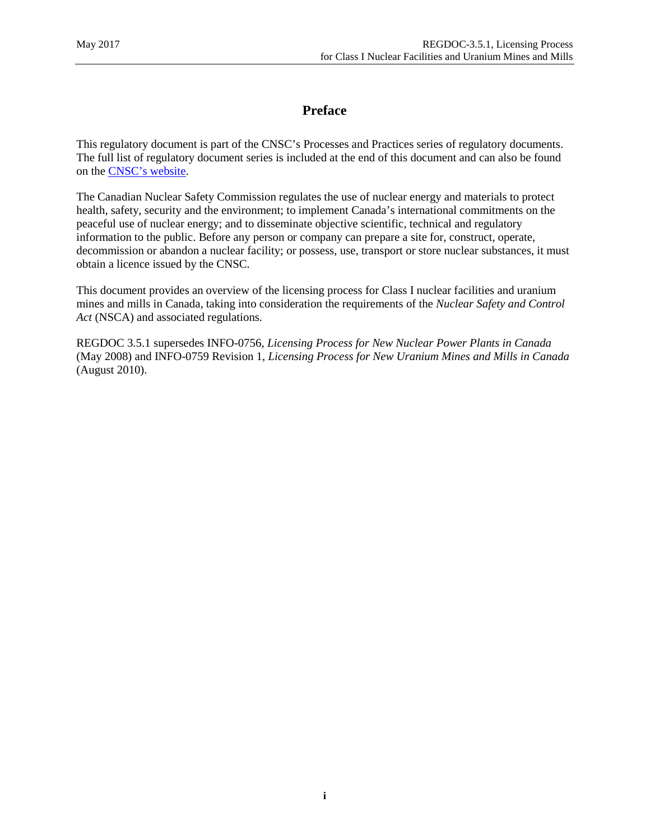# **Preface**

This regulatory document is part of the CNSC's Processes and Practices series of regulatory documents. The full list of regulatory document series is included at the end of this document and can also be found on the [CNSC's website.](http://www.nuclearsafety.gc.ca/eng/acts-and-regulations/regulatory-documents/index.cfm)

The Canadian Nuclear Safety Commission regulates the use of nuclear energy and materials to protect health, safety, security and the environment; to implement Canada's international commitments on the peaceful use of nuclear energy; and to disseminate objective scientific, technical and regulatory information to the public. Before any person or company can prepare a site for, construct, operate, decommission or abandon a nuclear facility; or possess, use, transport or store nuclear substances, it must obtain a licence issued by the CNSC.

This document provides an overview of the licensing process for Class I nuclear facilities and uranium mines and mills in Canada, taking into consideration the requirements of the *Nuclear Safety and Control Act* (NSCA) and associated regulations.

REGDOC 3.5.1 supersedes INFO-0756, *Licensing Process for New Nuclear Power Plants in Canada*  (May 2008) and INFO-0759 Revision 1, *Licensing Process for New Uranium Mines and Mills in Canada* (August 2010).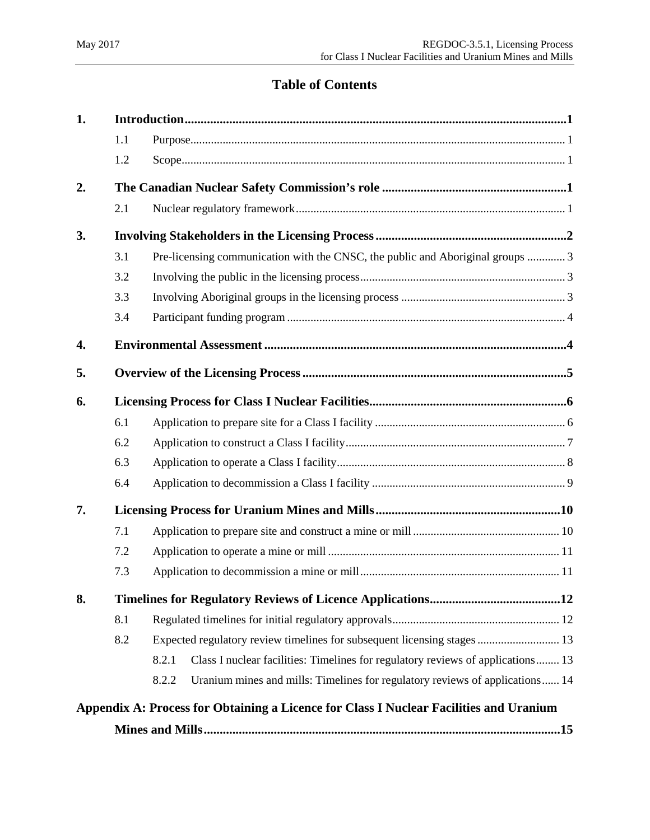# **Table of Contents**

| 1. |     |                                                                                          |  |  |  |  |  |
|----|-----|------------------------------------------------------------------------------------------|--|--|--|--|--|
|    | 1.1 |                                                                                          |  |  |  |  |  |
|    | 1.2 |                                                                                          |  |  |  |  |  |
| 2. |     |                                                                                          |  |  |  |  |  |
|    | 2.1 |                                                                                          |  |  |  |  |  |
| 3. |     |                                                                                          |  |  |  |  |  |
|    | 3.1 | Pre-licensing communication with the CNSC, the public and Aboriginal groups  3           |  |  |  |  |  |
|    | 3.2 |                                                                                          |  |  |  |  |  |
|    | 3.3 |                                                                                          |  |  |  |  |  |
|    | 3.4 |                                                                                          |  |  |  |  |  |
| 4. |     |                                                                                          |  |  |  |  |  |
| 5. |     |                                                                                          |  |  |  |  |  |
| 6. |     |                                                                                          |  |  |  |  |  |
|    | 6.1 |                                                                                          |  |  |  |  |  |
|    | 6.2 |                                                                                          |  |  |  |  |  |
|    | 6.3 |                                                                                          |  |  |  |  |  |
|    | 6.4 |                                                                                          |  |  |  |  |  |
| 7. |     |                                                                                          |  |  |  |  |  |
|    | 7.1 |                                                                                          |  |  |  |  |  |
|    | 7.2 |                                                                                          |  |  |  |  |  |
|    | 7.3 |                                                                                          |  |  |  |  |  |
| 8. |     |                                                                                          |  |  |  |  |  |
|    | 8.1 |                                                                                          |  |  |  |  |  |
|    | 8.2 | Expected regulatory review timelines for subsequent licensing stages  13                 |  |  |  |  |  |
|    |     | Class I nuclear facilities: Timelines for regulatory reviews of applications 13<br>8.2.1 |  |  |  |  |  |
|    |     | Uranium mines and mills: Timelines for regulatory reviews of applications 14<br>8.2.2    |  |  |  |  |  |
|    |     | Appendix A: Process for Obtaining a Licence for Class I Nuclear Facilities and Uranium   |  |  |  |  |  |
|    |     |                                                                                          |  |  |  |  |  |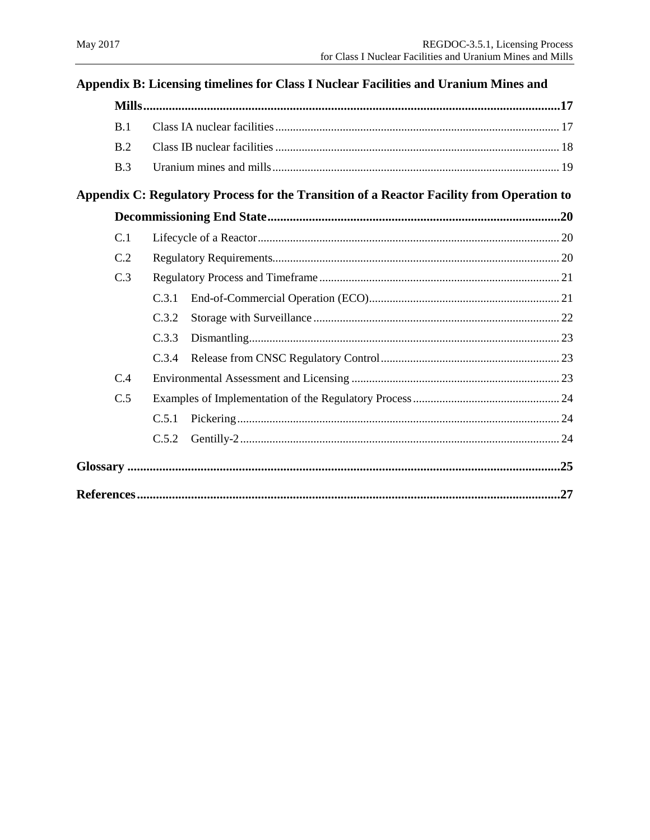|     |     |       | Appendix B: Licensing timelines for Class I Nuclear Facilities and Uranium Mines and                                                                                                                                                                                                                                                        |  |
|-----|-----|-------|---------------------------------------------------------------------------------------------------------------------------------------------------------------------------------------------------------------------------------------------------------------------------------------------------------------------------------------------|--|
|     |     |       | $\text{Mills} \textcolor{red}{}\textbf{} \textcolor{red}{\textbf{} \textbf{} \textbf{} \textbf{} \textbf{} \textbf{} \textbf{} \textbf{} \textbf{} \textbf{} \textbf{} \textbf{} \textbf{} \textbf{} \textbf{} \textbf{} \textbf{} \textbf{} \textbf{} \textbf{} \textbf{} \textbf{} \textbf{} \textbf{} \textbf{} \textbf{} \textbf{}} 17$ |  |
| B.1 |     |       |                                                                                                                                                                                                                                                                                                                                             |  |
|     | B.2 |       |                                                                                                                                                                                                                                                                                                                                             |  |
|     | B.3 |       |                                                                                                                                                                                                                                                                                                                                             |  |
|     |     |       | Appendix C: Regulatory Process for the Transition of a Reactor Facility from Operation to                                                                                                                                                                                                                                                   |  |
|     |     |       |                                                                                                                                                                                                                                                                                                                                             |  |
| C.1 |     |       |                                                                                                                                                                                                                                                                                                                                             |  |
|     | C.2 |       |                                                                                                                                                                                                                                                                                                                                             |  |
|     | C.3 |       |                                                                                                                                                                                                                                                                                                                                             |  |
|     |     | C.3.1 |                                                                                                                                                                                                                                                                                                                                             |  |
|     |     | C.3.2 |                                                                                                                                                                                                                                                                                                                                             |  |
|     |     | C.3.3 |                                                                                                                                                                                                                                                                                                                                             |  |
|     |     | C.3.4 |                                                                                                                                                                                                                                                                                                                                             |  |
|     | C.4 |       |                                                                                                                                                                                                                                                                                                                                             |  |
|     | C.5 |       |                                                                                                                                                                                                                                                                                                                                             |  |
|     |     | C.5.1 |                                                                                                                                                                                                                                                                                                                                             |  |
|     |     | C.5.2 |                                                                                                                                                                                                                                                                                                                                             |  |
|     |     |       |                                                                                                                                                                                                                                                                                                                                             |  |
|     |     |       |                                                                                                                                                                                                                                                                                                                                             |  |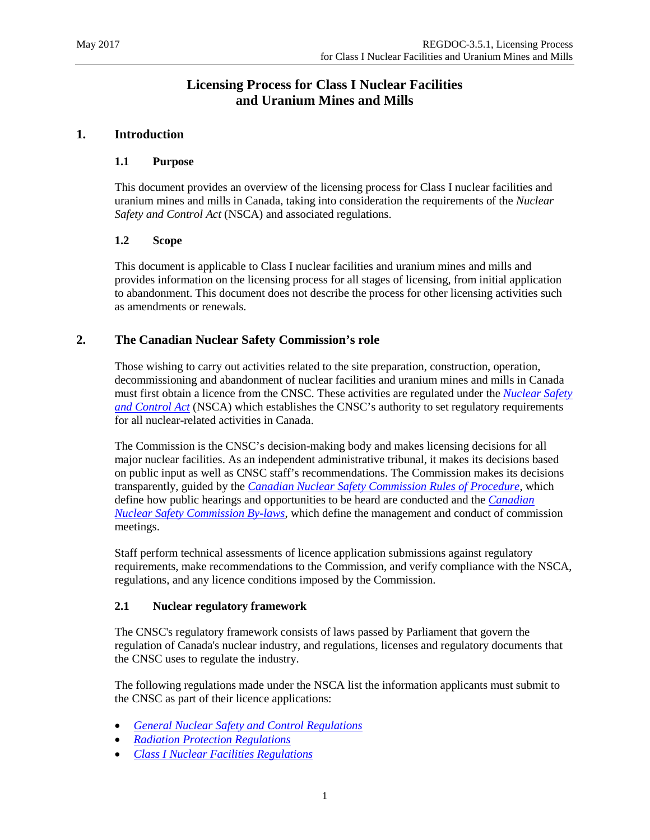# **Licensing Process for Class I Nuclear Facilities and Uranium Mines and Mills**

#### <span id="page-5-1"></span><span id="page-5-0"></span>**1. Introduction**

#### **1.1 Purpose**

This document provides an overview of the licensing process for Class I nuclear facilities and uranium mines and mills in Canada, taking into consideration the requirements of the *Nuclear Safety and Control Act* (NSCA) and associated regulations.

#### <span id="page-5-2"></span>**1.2 Scope**

This document is applicable to Class I nuclear facilities and uranium mines and mills and provides information on the licensing process for all stages of licensing, from initial application to abandonment. This document does not describe the process for other licensing activities such as amendments or renewals.

#### <span id="page-5-3"></span>**2. The Canadian Nuclear Safety Commission's role**

Those wishing to carry out activities related to the site preparation, construction, operation, decommissioning and abandonment of nuclear facilities and uranium mines and mills in Canada must first obtain a licence from the CNSC. These activities are regulated under the *[Nuclear Safety](http://laws-lois.justice.gc.ca/eng/acts/N-28.3/index.html)  [and Control Act](http://laws-lois.justice.gc.ca/eng/acts/N-28.3/index.html)* (NSCA) which establishes the CNSC's authority to set regulatory requirements for all nuclear-related activities in Canada.

The Commission is the CNSC's decision-making body and makes licensing decisions for all major nuclear facilities. As an independent administrative tribunal, it makes its decisions based on public input as well as CNSC staff's recommendations. The Commission makes its decisions transparently, guided by the *[Canadian Nuclear Safety Commission Rules of Procedure](http://laws.justice.gc.ca/eng/regulations/sor-2000-211/page-1.html)*, which define how public hearings and opportunities to be heard are conducted and the *[Canadian](http://laws.justice.gc.ca/eng/regulations/sor-2000-212/page-1.html)  [Nuclear Safety Commission By-laws](http://laws.justice.gc.ca/eng/regulations/sor-2000-212/page-1.html)*, which define the management and conduct of commission meetings.

Staff perform technical assessments of licence application submissions against regulatory requirements, make recommendations to the Commission, and verify compliance with the NSCA, regulations, and any licence conditions imposed by the Commission.

#### <span id="page-5-4"></span>**2.1 Nuclear regulatory framework**

The CNSC's regulatory framework consists of laws passed by Parliament that govern the regulation of Canada's nuclear industry, and regulations, licenses and regulatory documents that the CNSC uses to regulate the industry.

The following regulations made under the NSCA list the information applicants must submit to the CNSC as part of their licence applications:

- *[General Nuclear Safety and Control Regulations](http://laws.justice.gc.ca/eng/regulations/sor-2000-202/page-1.html)*
- *[Radiation Protection Regulations](http://laws.justice.gc.ca/eng/regulations/sor-2000-203/page-1.html)*
- *[Class I Nuclear Facilities Regulations](http://laws.justice.gc.ca/eng/regulations/sor-2000-204/page-1.html)*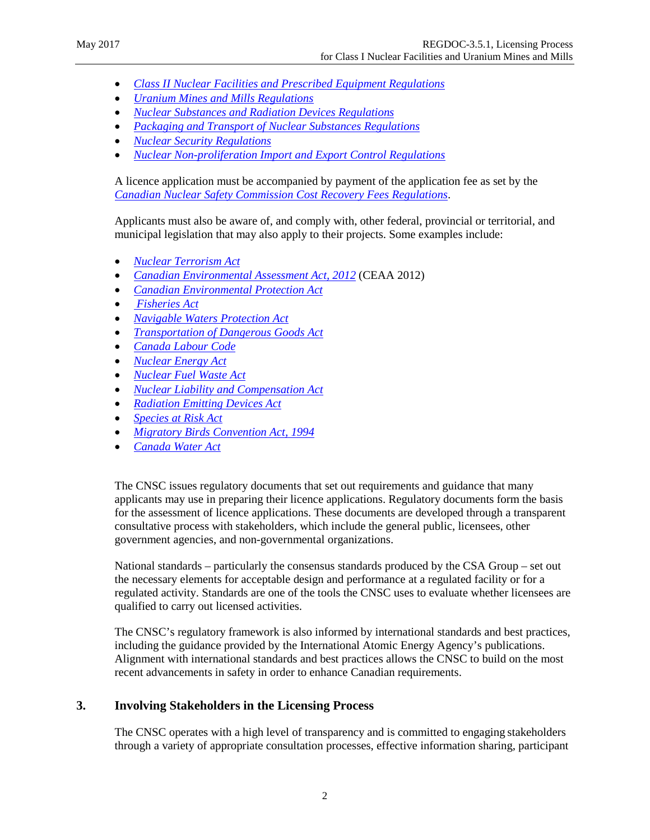- *[Class II Nuclear Facilities and Prescribed Equipment Regulations](http://laws.justice.gc.ca/eng/regulations/sor-2000-205/page-1.html)*
- *[Uranium Mines and Mills Regulations](http://laws.justice.gc.ca/eng/regulations/sor-2000-206/page-1.html)*
- *[Nuclear Substances and Radiation Devices Regulations](http://laws.justice.gc.ca/eng/regulations/sor-2000-207/page-1.html)*
- *[Packaging and Transport of Nuclear Substances Regulations](http://laws-lois.justice.gc.ca/eng/regulations/SOR-2015-145/)*
- *[Nuclear Security Regulations](http://laws.justice.gc.ca/eng/regulations/sor-2000-209/page-1.html)*
- *[Nuclear Non-proliferation Import and Export Control Regulations](http://laws.justice.gc.ca/eng/regulations/sor-2000-210/page-1.html)*

A licence application must be accompanied by payment of the application fee as set by the *[Canadian Nuclear Safety Commission](http://laws.justice.gc.ca/eng/regulations/sor-2003-212/page-1.html) Cost Recovery Fees Regulations*.

Applicants must also be aware of, and comply with, other federal, provincial or territorial, and municipal legislation that may also apply to their projects. Some examples include:

- *[Nuclear Terrorism Act](http://www.parl.gc.ca/HousePublications/Publication.aspx?Language=E&Mode=1&DocId=6246171)*
- *[Canadian Environmental Assessment Act, 2012](http://laws.justice.gc.ca/eng/acts/C-15.2/index.html)* (CEAA 2012)
- *[Canadian Environmental Protection Act](http://laws-lois.justice.gc.ca/eng/acts/C-15.31/page-1.html)*
- *[Fisheries Act](http://laws-lois.justice.gc.ca/eng/acts/F-14/)*
- *[Navigable Waters Protection Act](http://laws-lois.justice.gc.ca/eng/acts/N-22/page-1.html)*
- *[Transportation of Dangerous Goods Act](http://laws-lois.justice.gc.ca/eng/acts/T-19.01/)*
- *[Canada Labour Code](http://laws-lois.justice.gc.ca/eng/acts/L-2/)*
- *[Nuclear Energy Act](http://laws-lois.justice.gc.ca/eng/acts/A-16/)*
- *[Nuclear Fuel Waste Act](http://laws-lois.justice.gc.ca/eng/acts/N-27.7/)*
- *Nuclear Liability [and Compensation](http://laws-lois.justice.gc.ca/eng/acts/N-28.1/page-1.html) Act*
- *[Radiation Emitting Devices Act](http://laws-lois.justice.gc.ca/eng/acts/R-1/index.html)*
- *[Species at Risk Act](http://laws-lois.justice.gc.ca/eng/acts/s-15.3/)*
- *[Migratory Birds Convention Act, 1994](http://laws-lois.justice.gc.ca/eng/acts/m-7.01/)*
- *[Canada Water Act](http://laws-lois.justice.gc.ca/eng/acts/c-11/index.html)*

The CNSC issues regulatory documents that set out requirements and guidance that many applicants may use in preparing their licence applications. Regulatory documents form the basis for the assessment of licence applications. These documents are developed through a transparent consultative process with stakeholders, which include the general public, licensees, other government agencies, and non-governmental organizations.

National standards – particularly the consensus standards produced by the CSA Group – set out the necessary elements for acceptable design and performance at a regulated facility or for a regulated activity. Standards are one of the tools the CNSC uses to evaluate whether licensees are qualified to carry out licensed activities.

The CNSC's regulatory framework is also informed by international standards and best practices, including the guidance provided by the International Atomic Energy Agency's publications. Alignment with international standards and best practices allows the CNSC to build on the most recent advancements in safety in order to enhance Canadian requirements.

#### <span id="page-6-0"></span>**3. Involving Stakeholders in the Licensing Process**

The CNSC operates with a high level of transparency and is committed to engaging stakeholders through a variety of appropriate consultation processes, effective information sharing, participant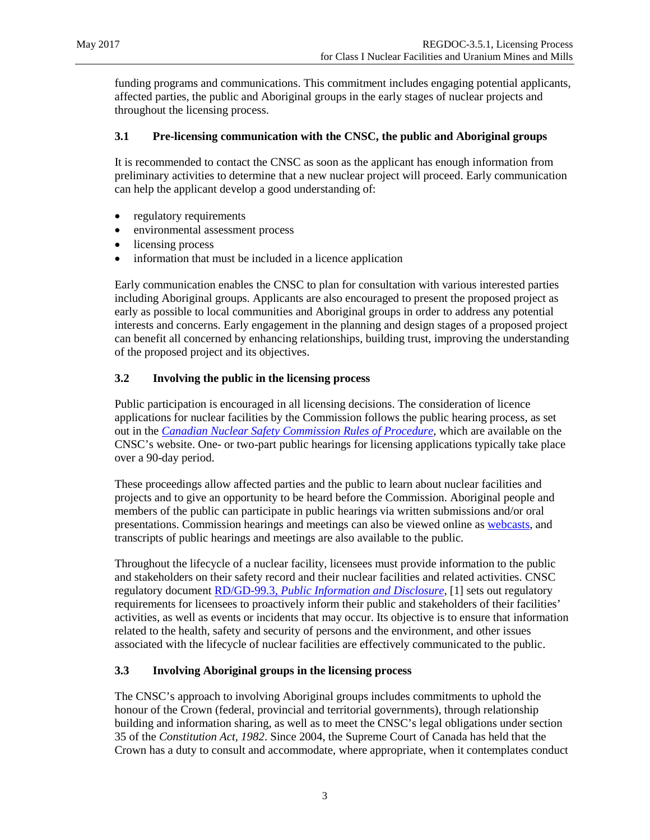funding programs and communications. This commitment includes engaging potential applicants, affected parties, the public and Aboriginal groups in the early stages of nuclear projects and throughout the licensing process.

#### <span id="page-7-0"></span>**3.1 Pre-licensing communication with the CNSC, the public and Aboriginal groups**

It is recommended to contact the CNSC as soon as the applicant has enough information from preliminary activities to determine that a new nuclear project will proceed. Early communication can help the applicant develop a good understanding of:

- regulatory requirements
- environmental assessment process
- licensing process
- information that must be included in a licence application

Early communication enables the CNSC to plan for consultation with various interested parties including Aboriginal groups. Applicants are also encouraged to present the proposed project as early as possible to local communities and Aboriginal groups in order to address any potential interests and concerns. Early engagement in the planning and design stages of a proposed project can benefit all concerned by enhancing relationships, building trust, improving the understanding of the proposed project and its objectives.

#### <span id="page-7-1"></span>**3.2 Involving the public in the licensing process**

Public participation is encouraged in all licensing decisions. The consideration of licence applications for nuclear facilities by the Commission follows the public hearing process, as set out in the *[Canadian Nuclear Safety Commission](http://laws-lois.justice.gc.ca/eng/regulations/sor-2000-211/page-1.html) Rules of Procedure*, which are available on the CNSC's website. One- or two-part public hearings for licensing applications typically take place over a 90-day period.

These proceedings allow affected parties and the public to learn about nuclear facilities and projects and to give an opportunity to be heard before the Commission. Aboriginal people and members of the public can participate in public hearings via written submissions and/or oral presentations. Commission hearings and meetings can also be viewed online as [webcasts,](http://www.nuclearsafety.gc.ca/eng/the-commission/webcasts/index.cfm) and transcripts of public hearings and meetings are also available to the public.

Throughout the lifecycle of a nuclear facility, licensees must provide information to the public and stakeholders on their safety record and their nuclear facilities and related activities. CNSC regulatory document RD/GD-99.3, *[Public Information and Disclosure](http://www.nuclearsafety.gc.ca/eng/acts-and-regulations/regulatory-documents/published/html/rdgd993/index.cfm)*, [1] sets out regulatory requirements for licensees to proactively inform their public and stakeholders of their facilities' activities, as well as events or incidents that may occur. Its objective is to ensure that information related to the health, safety and security of persons and the environment, and other issues associated with the lifecycle of nuclear facilities are effectively communicated to the public.

#### <span id="page-7-2"></span>**3.3 Involving Aboriginal groups in the licensing process**

The CNSC's approach to involving Aboriginal groups includes commitments to uphold the honour of the Crown (federal, provincial and territorial governments), through relationship building and information sharing, as well as to meet the CNSC's legal obligations under section 35 of the *Constitution Act, 1982*. Since 2004, the Supreme Court of Canada has held that the Crown has a duty to consult and accommodate, where appropriate, when it contemplates conduct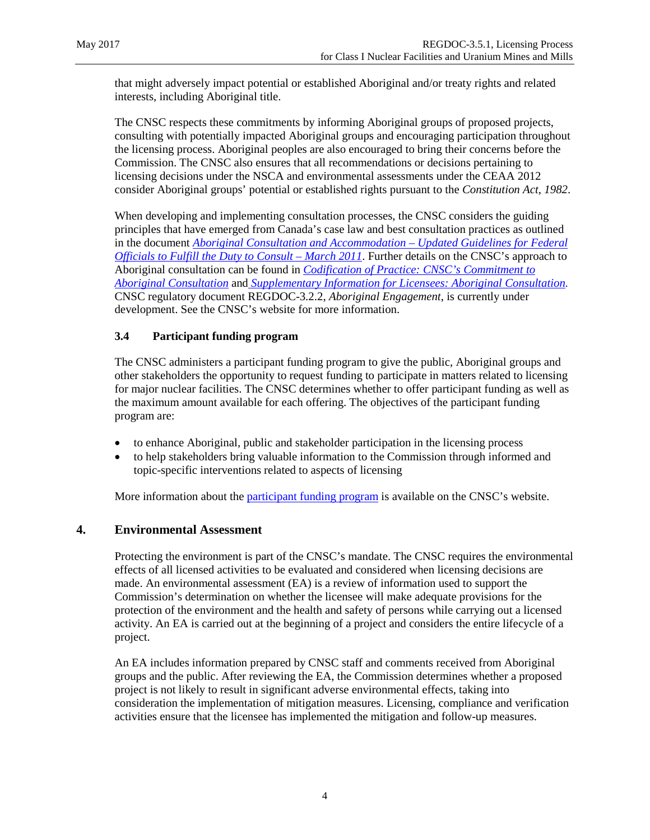that might adversely impact potential or established Aboriginal and/or treaty rights and related interests, including Aboriginal title.

The CNSC respects these commitments by informing Aboriginal groups of proposed projects, consulting with potentially impacted Aboriginal groups and encouraging participation throughout the licensing process. Aboriginal peoples are also encouraged to bring their concerns before the Commission. The CNSC also ensures that all recommendations or decisions pertaining to licensing decisions under the NSCA and environmental assessments under the CEAA 2012 consider Aboriginal groups' potential or established rights pursuant to the *Constitution Act*, *1982*.

When developing and implementing consultation processes, the CNSC considers the guiding principles that have emerged from Canada's case law and best consultation practices as outlined in the document *[Aboriginal Consultation and Accommodation –](http://www.aadnc-aandc.gc.ca/eng/1100100014664/1100100014675) Updated Guidelines for Federal [Officials to Fulfill the Duty to Consult –](http://www.aadnc-aandc.gc.ca/eng/1100100014664/1100100014675) March 2011*. Further details on the CNSC's approach to Aboriginal consultation can be found in *[Codification of Practice: CNSC's Commitment to](http://www.google.ca/url?sa=t&rct=j&q=&esrc=s&source=web&cd=1&cad=rja&uact=8&ved=0ahUKEwjZm9ONlJXUAhUENiYKHSDBB1AQFggmMAA&url=http%3A%2F%2Fnuclearsafety.gc.ca%2Feng%2Fpdfs%2Fduty-to-consult%2FAugust-2011-Codification-of-Current-Practice-CNSC-Commitment-to-Aboriginal-Consultation_e.pdf&usg=AFQjCNHkBcCcd-GqaBMZ83a50kJyYsLQJg)  [Aboriginal Consultation](http://www.google.ca/url?sa=t&rct=j&q=&esrc=s&source=web&cd=1&cad=rja&uact=8&ved=0ahUKEwjZm9ONlJXUAhUENiYKHSDBB1AQFggmMAA&url=http%3A%2F%2Fnuclearsafety.gc.ca%2Feng%2Fpdfs%2Fduty-to-consult%2FAugust-2011-Codification-of-Current-Practice-CNSC-Commitment-to-Aboriginal-Consultation_e.pdf&usg=AFQjCNHkBcCcd-GqaBMZ83a50kJyYsLQJg)* and *[Supplementary Information for Licensees: Aboriginal Consultation.](http://www.google.ca/url?sa=t&rct=j&q=&esrc=s&source=web&cd=1&cad=rja&uact=8&ved=0ahUKEwitltLHlJXUAhWDSSYKHWzIBzwQFggiMAA&url=http%3A%2F%2Fnuclearsafety.gc.ca%2Feng%2Fpdfs%2Fduty-to-consult%2FSupplementary-information-for-licensees_in_e.pdf&usg=AFQjCNFNXDlcotpAej3RtO05zfz2_kTazA)* CNSC regulatory document REGDOC-3.2.2, *Aboriginal Engagement*, is currently under development. See the CNSC's website for more information.

#### <span id="page-8-0"></span>**3.4 Participant funding program**

The CNSC administers a participant funding program to give the public, Aboriginal groups and other stakeholders the opportunity to request funding to participate in matters related to licensing for major nuclear facilities. The CNSC determines whether to offer participant funding as well as the maximum amount available for each offering. The objectives of the participant funding program are:

- to enhance Aboriginal, public and stakeholder participation in the licensing process
- to help stakeholders bring valuable information to the Commission through informed and topic-specific interventions related to aspects of licensing

More information about th[e participant funding program](http://www.nuclearsafety.gc.ca/eng/the-commission/participant-funding-program/index.cfm) is available on the CNSC's website.

#### <span id="page-8-1"></span>**4. Environmental Assessment**

Protecting the environment is part of the CNSC's mandate. The CNSC requires the environmental effects of all licensed activities to be evaluated and considered when licensing decisions are made. An environmental assessment (EA) is a review of information used to support the Commission's determination on whether the licensee will make adequate provisions for the protection of the environment and the health and safety of persons while carrying out a licensed activity. An EA is carried out at the beginning of a project and considers the entire lifecycle of a project.

An EA includes information prepared by CNSC staff and comments received from Aboriginal groups and the public. After reviewing the EA, the Commission determines whether a proposed project is not likely to result in significant adverse environmental effects, taking into consideration the implementation of mitigation measures. Licensing, compliance and verification activities ensure that the licensee has implemented the mitigation and follow-up measures.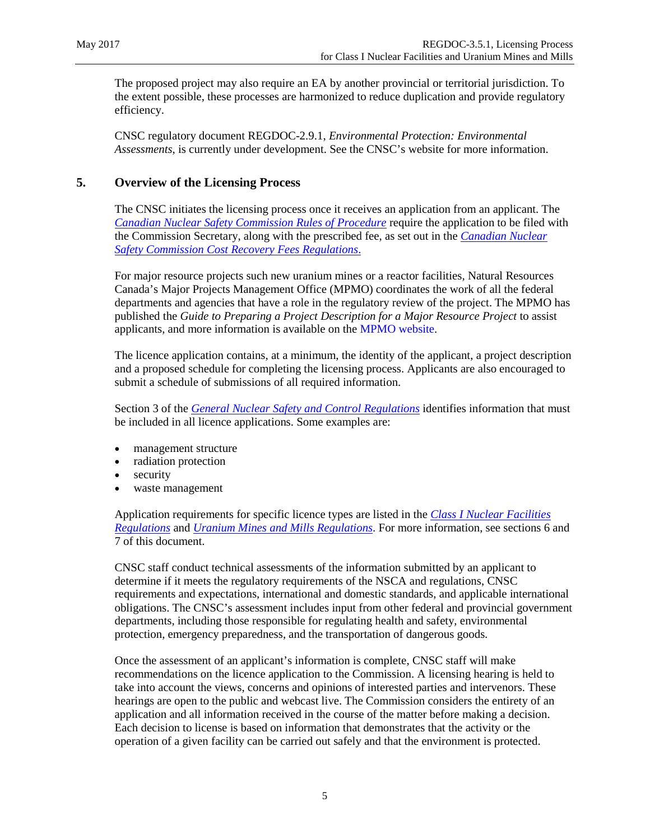The proposed project may also require an EA by another provincial or territorial jurisdiction. To the extent possible, these processes are harmonized to reduce duplication and provide regulatory efficiency.

CNSC regulatory document REGDOC-2.9.1, *Environmental Protection: Environmental Assessments*, is currently under development. See the CNSC's website for more information.

#### <span id="page-9-0"></span>**5. Overview of the Licensing Process**

The CNSC initiates the licensing process once it receives an application from an applicant. The *[Canadian Nuclear Safety Commission Rules of Procedure](http://laws-lois.justice.gc.ca/eng/regulations/sor-2000-211/page-1.html)* require the application to be filed with the Commission Secretary, along with the prescribed fee, as set out in the *[Canadian Nuclear](http://laws-lois.justice.gc.ca/eng/regulations/sor-2003-212/page-1.html)  Safety Commission [Cost Recovery Fees Regulations](http://laws-lois.justice.gc.ca/eng/regulations/sor-2003-212/page-1.html)*.

For major resource projects such new uranium mines or a reactor facilities, Natural Resources Canada's Major Projects Management Office (MPMO) coordinates the work of all the federal departments and agencies that have a role in the regulatory review of the project. The MPMO has published the *Guide to Preparing a Project Description for a Major Resource Project* to assist applicants, and more information is available on the [MPMO website.](http://mpmo.gc.ca/)

The licence application contains, at a minimum, the identity of the applicant, a project description and a proposed schedule for completing the licensing process. Applicants are also encouraged to submit a schedule of submissions of all required information.

Section 3 of the *[General Nuclear Safety and Control Regulations](http://laws.justice.gc.ca/eng/regulations/sor-2000-202/page-1.html)* identifies information that must be included in all licence applications. Some examples are:

- management structure
- radiation protection
- security
- waste management

Application requirements for specific licence types are listed in the *[Class I Nuclear Facilities](http://laws-lois.justice.gc.ca/eng/regulations/SOR-2000-204/FullText.html)  [Regulations](http://laws-lois.justice.gc.ca/eng/regulations/SOR-2000-204/FullText.html)* and *[Uranium Mines and Mills Regulations](http://laws-lois.justice.gc.ca/eng/regulations/sor-2000-206/page-1.html)*. For more information, see sections 6 and 7 of this document.

CNSC staff conduct technical assessments of the information submitted by an applicant to determine if it meets the regulatory requirements of the NSCA and regulations, CNSC requirements and expectations, international and domestic standards, and applicable international obligations. The CNSC's assessment includes input from other federal and provincial government departments, including those responsible for regulating health and safety, environmental protection, emergency preparedness, and the transportation of dangerous goods.

Once the assessment of an applicant's information is complete, CNSC staff will make recommendations on the licence application to the Commission. A licensing hearing is held to take into account the views, concerns and opinions of interested parties and intervenors. These hearings are open to the public and webcast live. The Commission considers the entirety of an application and all information received in the course of the matter before making a decision. Each decision to license is based on information that demonstrates that the activity or the operation of a given facility can be carried out safely and that the environment is protected.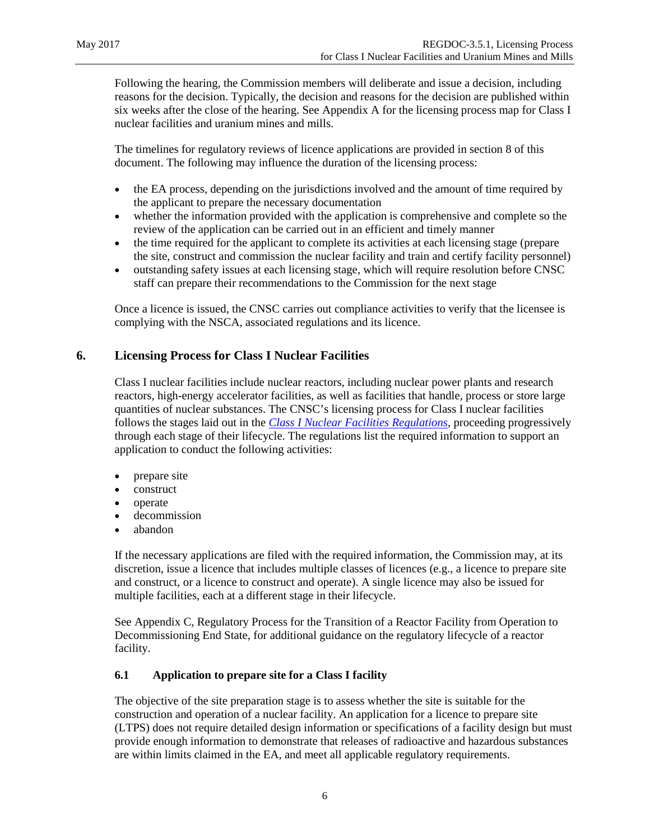Following the hearing, the Commission members will deliberate and issue a decision, including reasons for the decision. Typically, the decision and reasons for the decision are published within six weeks after the close of the hearing. See Appendix A for the licensing process map for Class I nuclear facilities and uranium mines and mills.

The timelines for regulatory reviews of licence applications are provided in section 8 of this document. The following may influence the duration of the licensing process:

- the EA process, depending on the jurisdictions involved and the amount of time required by the applicant to prepare the necessary documentation
- whether the information provided with the application is comprehensive and complete so the review of the application can be carried out in an efficient and timely manner
- the time required for the applicant to complete its activities at each licensing stage (prepare the site, construct and commission the nuclear facility and train and certify facility personnel)
- outstanding safety issues at each licensing stage, which will require resolution before CNSC staff can prepare their recommendations to the Commission for the next stage

Once a licence is issued, the CNSC carries out compliance activities to verify that the licensee is complying with the NSCA, associated regulations and its licence.

#### <span id="page-10-0"></span>**6. Licensing Process for Class I Nuclear Facilities**

Class I nuclear facilities include nuclear reactors, including nuclear power plants and research reactors, high-energy accelerator facilities, as well as facilities that handle, process or store large quantities of nuclear substances. The CNSC's licensing process for Class I nuclear facilities follows the stages laid out in the *[Class I Nuclear Facilities Regulations](http://laws-lois.justice.gc.ca/eng/regulations/SOR-2000-204/FullText.html)*, proceeding progressively through each stage of their lifecycle. The regulations list the required information to support an application to conduct the following activities:

- prepare site
- construct
- operate
- decommission
- abandon

If the necessary applications are filed with the required information, the Commission may, at its discretion, issue a licence that includes multiple classes of licences (e.g., a licence to prepare site and construct, or a licence to construct and operate). A single licence may also be issued for multiple facilities, each at a different stage in their lifecycle.

See Appendix C[, Regulatory Process for the Transition of a Reactor Facility from Operation to](#page-24-0)  [Decommissioning End State,](#page-24-0) for additional guidance on the regulatory lifecycle of a reactor facility.

#### <span id="page-10-1"></span>**6.1 Application to prepare site for a Class I facility**

The objective of the site preparation stage is to assess whether the site is suitable for the construction and operation of a nuclear facility. An application for a licence to prepare site (LTPS) does not require detailed design information or specifications of a facility design but must provide enough information to demonstrate that releases of radioactive and hazardous substances are within limits claimed in the EA, and meet all applicable regulatory requirements.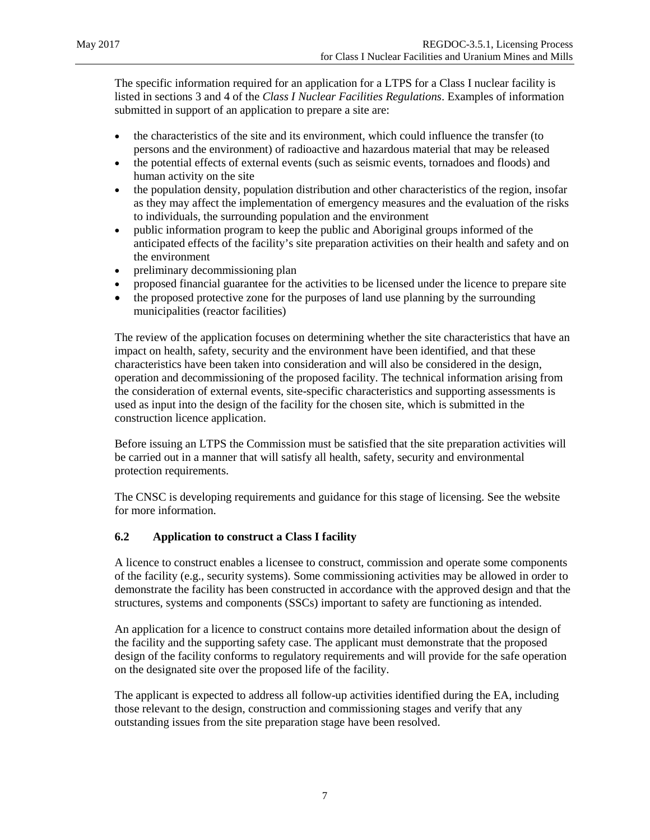The specific information required for an application for a LTPS for a Class I nuclear facility is listed in sections 3 and 4 of the *Class I Nuclear Facilities Regulations*. Examples of information submitted in support of an application to prepare a site are:

- the characteristics of the site and its environment, which could influence the transfer (to persons and the environment) of radioactive and hazardous material that may be released
- the potential effects of external events (such as seismic events, tornadoes and floods) and human activity on the site
- the population density, population distribution and other characteristics of the region, insofar as they may affect the implementation of emergency measures and the evaluation of the risks to individuals, the surrounding population and the environment
- public information program to keep the public and Aboriginal groups informed of the anticipated effects of the facility's site preparation activities on their health and safety and on the environment
- preliminary decommissioning plan
- proposed financial guarantee for the activities to be licensed under the licence to prepare site
- the proposed protective zone for the purposes of land use planning by the surrounding municipalities (reactor facilities)

The review of the application focuses on determining whether the site characteristics that have an impact on health, safety, security and the environment have been identified, and that these characteristics have been taken into consideration and will also be considered in the design, operation and decommissioning of the proposed facility. The technical information arising from the consideration of external events, site-specific characteristics and supporting assessments is used as input into the design of the facility for the chosen site, which is submitted in the construction licence application.

Before issuing an LTPS the Commission must be satisfied that the site preparation activities will be carried out in a manner that will satisfy all health, safety, security and environmental protection requirements.

The CNSC is developing requirements and guidance for this stage of licensing. See the website for more information.

#### <span id="page-11-0"></span>**6.2 Application to construct a Class I facility**

A licence to construct enables a licensee to construct, commission and operate some components of the facility (e.g., security systems). Some commissioning activities may be allowed in order to demonstrate the facility has been constructed in accordance with the approved design and that the structures, systems and components (SSCs) important to safety are functioning as intended.

An application for a licence to construct contains more detailed information about the design of the facility and the supporting safety case. The applicant must demonstrate that the proposed design of the facility conforms to regulatory requirements and will provide for the safe operation on the designated site over the proposed life of the facility.

The applicant is expected to address all follow-up activities identified during the EA, including those relevant to the design, construction and commissioning stages and verify that any outstanding issues from the site preparation stage have been resolved.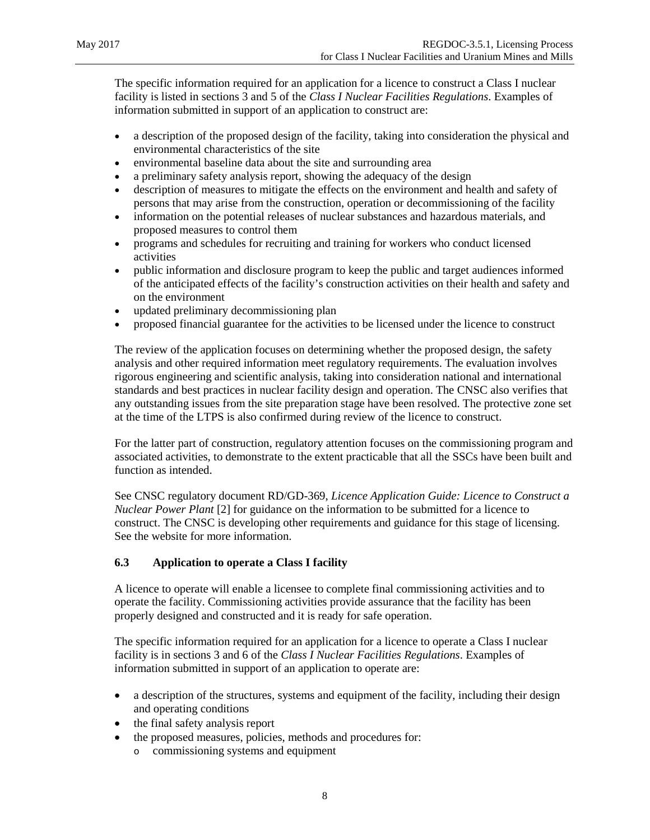The specific information required for an application for a licence to construct a Class I nuclear facility is listed in sections 3 and 5 of the *Class I Nuclear Facilities Regulations*. Examples of information submitted in support of an application to construct are:

- a description of the proposed design of the facility, taking into consideration the physical and environmental characteristics of the site
- environmental baseline data about the site and surrounding area
- a preliminary safety analysis report, showing the adequacy of the design
- description of measures to mitigate the effects on the environment and health and safety of persons that may arise from the construction, operation or decommissioning of the facility
- information on the potential releases of nuclear substances and hazardous materials, and proposed measures to control them
- programs and schedules for recruiting and training for workers who conduct licensed activities
- public information and disclosure program to keep the public and target audiences informed of the anticipated effects of the facility's construction activities on their health and safety and on the environment
- updated preliminary decommissioning plan
- proposed financial guarantee for the activities to be licensed under the licence to construct

The review of the application focuses on determining whether the proposed design, the safety analysis and other required information meet regulatory requirements. The evaluation involves rigorous engineering and scientific analysis, taking into consideration national and international standards and best practices in nuclear facility design and operation. The CNSC also verifies that any outstanding issues from the site preparation stage have been resolved. The protective zone set at the time of the LTPS is also confirmed during review of the licence to construct.

For the latter part of construction, regulatory attention focuses on the commissioning program and associated activities, to demonstrate to the extent practicable that all the SSCs have been built and function as intended.

See CNSC regulatory document RD/GD-369, *Licence Application Guide: Licence to Construct a Nuclear Power Plant* [2] for guidance on the information to be submitted for a licence to construct. The CNSC is developing other requirements and guidance for this stage of licensing. See the website for more information.

#### <span id="page-12-0"></span>**6.3 Application to operate a Class I facility**

A licence to operate will enable a licensee to complete final commissioning activities and to operate the facility. Commissioning activities provide assurance that the facility has been properly designed and constructed and it is ready for safe operation.

The specific information required for an application for a licence to operate a Class I nuclear facility is in sections 3 and 6 of the *Class I Nuclear Facilities Regulations*. Examples of information submitted in support of an application to operate are:

- a description of the structures, systems and equipment of the facility, including their design and operating conditions
- the final safety analysis report
- the proposed measures, policies, methods and procedures for:
	- o commissioning systems and equipment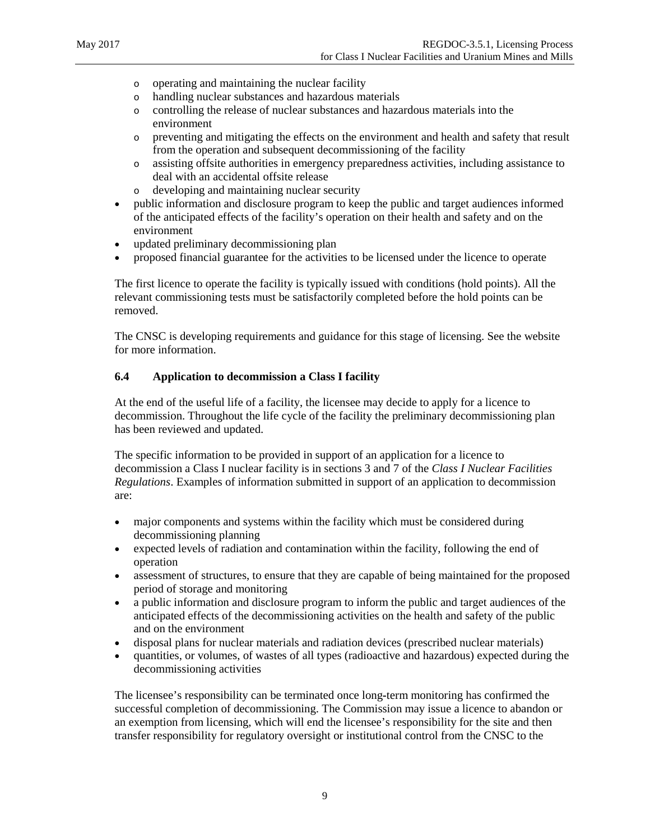- o operating and maintaining the nuclear facility
- o handling nuclear substances and hazardous materials
- o controlling the release of nuclear substances and hazardous materials into the environment
- o preventing and mitigating the effects on the environment and health and safety that result from the operation and subsequent decommissioning of the facility
- o assisting offsite authorities in emergency preparedness activities, including assistance to deal with an accidental offsite release
- o developing and maintaining nuclear security
- public information and disclosure program to keep the public and target audiences informed of the anticipated effects of the facility's operation on their health and safety and on the environment
- updated preliminary decommissioning plan
- proposed financial guarantee for the activities to be licensed under the licence to operate

The first licence to operate the facility is typically issued with conditions (hold points). All the relevant commissioning tests must be satisfactorily completed before the hold points can be removed.

The CNSC is developing requirements and guidance for this stage of licensing. See the website for more information.

#### <span id="page-13-0"></span>**6.4 Application to decommission a Class I facility**

At the end of the useful life of a facility, the licensee may decide to apply for a licence to decommission. Throughout the life cycle of the facility the preliminary decommissioning plan has been reviewed and updated.

The specific information to be provided in support of an application for a licence to decommission a Class I nuclear facility is in sections 3 and 7 of the *Class I Nuclear Facilities Regulations*. Examples of information submitted in support of an application to decommission are:

- major components and systems within the facility which must be considered during decommissioning planning
- expected levels of radiation and contamination within the facility, following the end of operation
- assessment of structures, to ensure that they are capable of being maintained for the proposed period of storage and monitoring
- a public information and disclosure program to inform the public and target audiences of the anticipated effects of the decommissioning activities on the health and safety of the public and on the environment
- disposal plans for nuclear materials and radiation devices (prescribed nuclear materials)
- quantities, or volumes, of wastes of all types (radioactive and hazardous) expected during the decommissioning activities

The licensee's responsibility can be terminated once long**-**term monitoring has confirmed the successful completion of decommissioning. The Commission may issue a licence to abandon or an exemption from licensing, which will end the licensee's responsibility for the site and then transfer responsibility for regulatory oversight or institutional control from the CNSC to the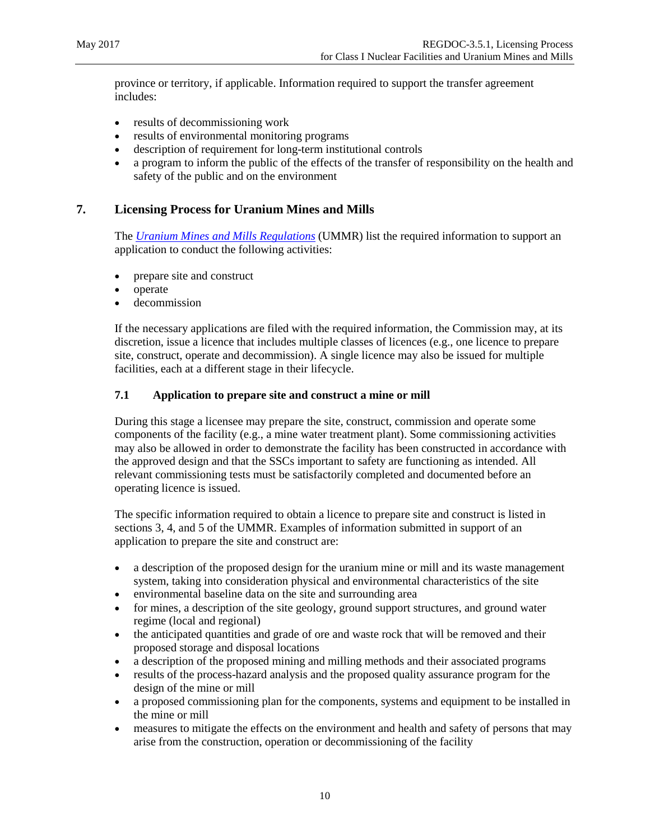province or territory, if applicable. Information required to support the transfer agreement includes:

- results of decommissioning work
- results of environmental monitoring programs
- description of requirement for long-term institutional controls
- a program to inform the public of the effects of the transfer of responsibility on the health and safety of the public and on the environment

#### <span id="page-14-0"></span>**7. Licensing Process for Uranium Mines and Mills**

The *[Uranium Mines and Mills Regulations](http://laws-lois.justice.gc.ca/eng/regulations/sor-2000-206/page-1.html)* (UMMR) list the required information to support an application to conduct the following activities:

- prepare site and construct
- operate
- decommission

If the necessary applications are filed with the required information, the Commission may, at its discretion, issue a licence that includes multiple classes of licences (e.g., one licence to prepare site, construct, operate and decommission). A single licence may also be issued for multiple facilities, each at a different stage in their lifecycle.

#### <span id="page-14-1"></span>**7.1 Application to prepare site and construct a mine or mill**

During this stage a licensee may prepare the site, construct, commission and operate some components of the facility (e.g., a mine water treatment plant). Some commissioning activities may also be allowed in order to demonstrate the facility has been constructed in accordance with the approved design and that the SSCs important to safety are functioning as intended. All relevant commissioning tests must be satisfactorily completed and documented before an operating licence is issued.

The specific information required to obtain a licence to prepare site and construct is listed in sections 3, 4, and 5 of the UMMR. Examples of information submitted in support of an application to prepare the site and construct are:

- a description of the proposed design for the uranium mine or mill and its waste management system, taking into consideration physical and environmental characteristics of the site
- environmental baseline data on the site and surrounding area
- for mines, a description of the site geology, ground support structures, and ground water regime (local and regional)
- the anticipated quantities and grade of ore and waste rock that will be removed and their proposed storage and disposal locations
- a description of the proposed mining and milling methods and their associated programs
- results of the process-hazard analysis and the proposed quality assurance program for the design of the mine or mill
- a proposed commissioning plan for the components, systems and equipment to be installed in the mine or mill
- measures to mitigate the effects on the environment and health and safety of persons that may arise from the construction, operation or decommissioning of the facility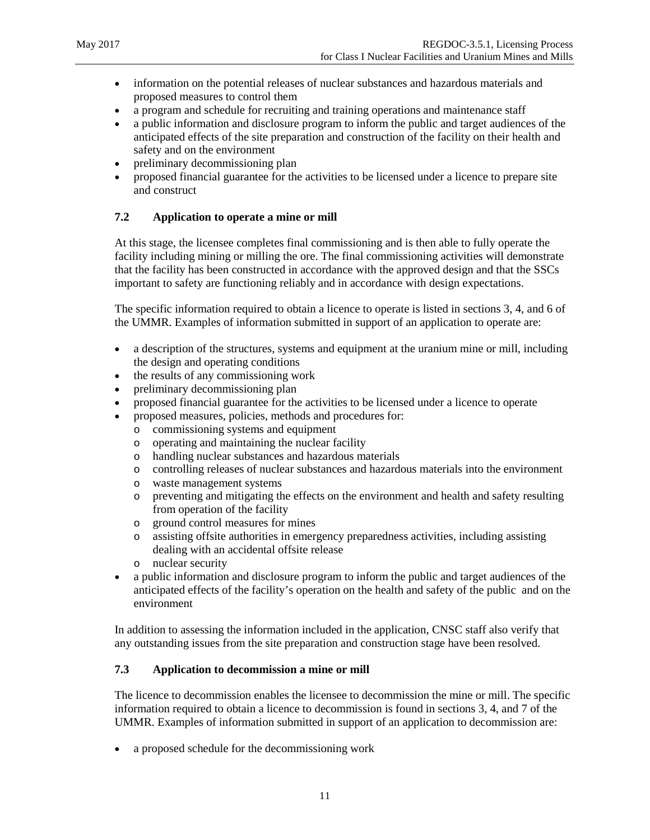- information on the potential releases of nuclear substances and hazardous materials and proposed measures to control them
- a program and schedule for recruiting and training operations and maintenance staff
- a public information and disclosure program to inform the public and target audiences of the anticipated effects of the site preparation and construction of the facility on their health and safety and on the environment
- preliminary decommissioning plan
- proposed financial guarantee for the activities to be licensed under a licence to prepare site and construct

#### <span id="page-15-0"></span>**7.2 Application to operate a mine or mill**

At this stage, the licensee completes final commissioning and is then able to fully operate the facility including mining or milling the ore. The final commissioning activities will demonstrate that the facility has been constructed in accordance with the approved design and that the SSCs important to safety are functioning reliably and in accordance with design expectations.

The specific information required to obtain a licence to operate is listed in sections 3, 4, and 6 of the UMMR. Examples of information submitted in support of an application to operate are:

- a description of the structures, systems and equipment at the uranium mine or mill, including the design and operating conditions
- the results of any commissioning work
- preliminary decommissioning plan
- proposed financial guarantee for the activities to be licensed under a licence to operate
- proposed measures, policies, methods and procedures for:
	- o commissioning systems and equipment
	- o operating and maintaining the nuclear facility
	- o handling nuclear substances and hazardous materials
	- o controlling releases of nuclear substances and hazardous materials into the environment
	- o waste management systems
	- o preventing and mitigating the effects on the environment and health and safety resulting from operation of the facility
	- o ground control measures for mines
	- o assisting offsite authorities in emergency preparedness activities, including assisting dealing with an accidental offsite release
	- o nuclear security
- a public information and disclosure program to inform the public and target audiences of the anticipated effects of the facility's operation on the health and safety of the public and on the environment

In addition to assessing the information included in the application, CNSC staff also verify that any outstanding issues from the site preparation and construction stage have been resolved.

#### <span id="page-15-1"></span>**7.3 Application to decommission a mine or mill**

The licence to decommission enables the licensee to decommission the mine or mill. The specific information required to obtain a licence to decommission is found in sections 3, 4, and 7 of the UMMR. Examples of information submitted in support of an application to decommission are:

• a proposed schedule for the decommissioning work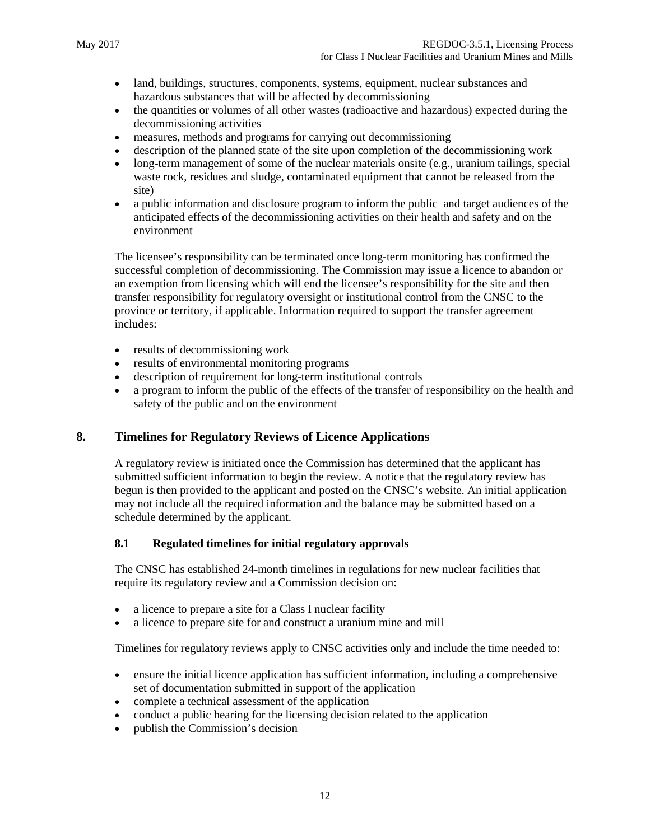- land, buildings, structures, components, systems, equipment, nuclear substances and hazardous substances that will be affected by decommissioning
- the quantities or volumes of all other wastes (radioactive and hazardous) expected during the decommissioning activities
- measures, methods and programs for carrying out decommissioning
- description of the planned state of the site upon completion of the decommissioning work
- long-term management of some of the nuclear materials onsite (e.g., uranium tailings, special waste rock, residues and sludge, contaminated equipment that cannot be released from the site)
- a public information and disclosure program to inform the public and target audiences of the anticipated effects of the decommissioning activities on their health and safety and on the environment

The licensee's responsibility can be terminated once long**-**term monitoring has confirmed the successful completion of decommissioning. The Commission may issue a licence to abandon or an exemption from licensing which will end the licensee's responsibility for the site and then transfer responsibility for regulatory oversight or institutional control from the CNSC to the province or territory, if applicable. Information required to support the transfer agreement includes:

- results of decommissioning work
- results of environmental monitoring programs
- description of requirement for long-term institutional controls
- a program to inform the public of the effects of the transfer of responsibility on the health and safety of the public and on the environment

#### <span id="page-16-0"></span>**8. Timelines for Regulatory Reviews of Licence Applications**

A regulatory review is initiated once the Commission has determined that the applicant has submitted sufficient information to begin the review. A notice that the regulatory review has begun is then provided to the applicant and posted on the CNSC's website. An initial application may not include all the required information and the balance may be submitted based on a schedule determined by the applicant.

#### <span id="page-16-1"></span>**8.1 Regulated timelines for initial regulatory approvals**

The CNSC has established 24-month timelines in regulations for new nuclear facilities that require its regulatory review and a Commission decision on:

- a licence to prepare a site for a Class I nuclear facility
- a licence to prepare site for and construct a uranium mine and mill

Timelines for regulatory reviews apply to CNSC activities only and include the time needed to:

- ensure the initial licence application has sufficient information, including a comprehensive set of documentation submitted in support of the application
- complete a technical assessment of the application
- conduct a public hearing for the licensing decision related to the application
- publish the Commission's decision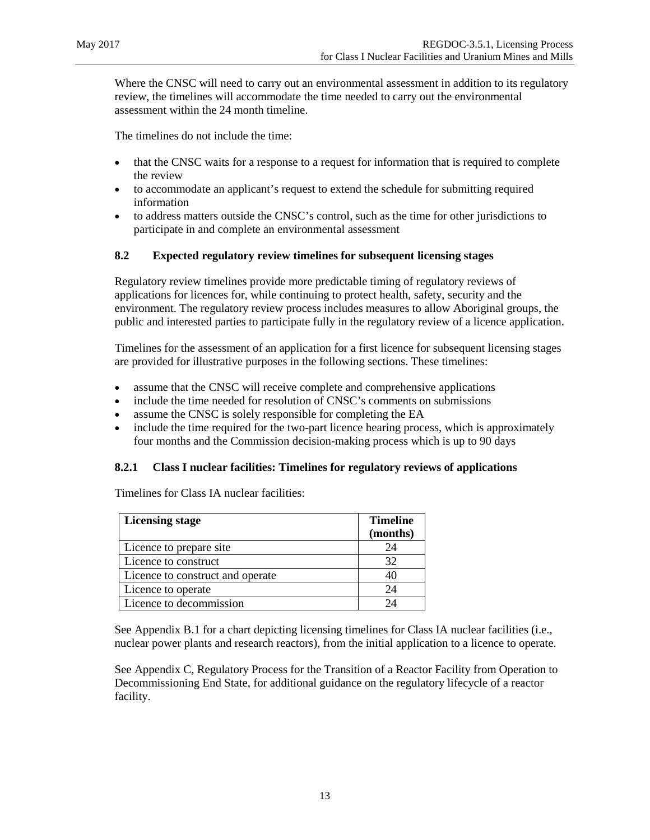Where the CNSC will need to carry out an environmental assessment in addition to its regulatory review, the timelines will accommodate the time needed to carry out the environmental assessment within the 24 month timeline.

The timelines do not include the time:

- that the CNSC waits for a response to a request for information that is required to complete the review
- to accommodate an applicant's request to extend the schedule for submitting required information
- to address matters outside the CNSC's control, such as the time for other jurisdictions to participate in and complete an environmental assessment

#### <span id="page-17-0"></span>**8.2 Expected regulatory review timelines for subsequent licensing stages**

Regulatory review timelines provide more predictable timing of regulatory reviews of applications for licences for, while continuing to protect health, safety, security and the environment. The regulatory review process includes measures to allow Aboriginal groups, the public and interested parties to participate fully in the regulatory review of a licence application.

Timelines for the assessment of an application for a first licence for subsequent licensing stages are provided for illustrative purposes in the following sections. These timelines:

- assume that the CNSC will receive complete and comprehensive applications
- include the time needed for resolution of CNSC's comments on submissions
- assume the CNSC is solely responsible for completing the EA
- include the time required for the two-part licence hearing process, which is approximately four months and the Commission decision-making process which is up to 90 days

#### <span id="page-17-1"></span>**8.2.1 Class I nuclear facilities: Timelines for regulatory reviews of applications**

Timelines for Class IA nuclear facilities:

| <b>Licensing stage</b>           | <b>Timeline</b> |
|----------------------------------|-----------------|
|                                  | (months)        |
| Licence to prepare site          | 24              |
| Licence to construct             | 32              |
| Licence to construct and operate |                 |
| Licence to operate               | 24              |
| Licence to decommission          |                 |

See Appendix B.1 for a chart depicting licensing timelines for Class IA nuclear facilities (i.e., nuclear power plants and research reactors), from the initial application to a licence to operate.

See Appendix C, Regulatory Process [for the Transition of a Reactor Facility from Operation to](#page-24-0)  [Decommissioning End State,](#page-24-0) for additional guidance on the regulatory lifecycle of a reactor facility.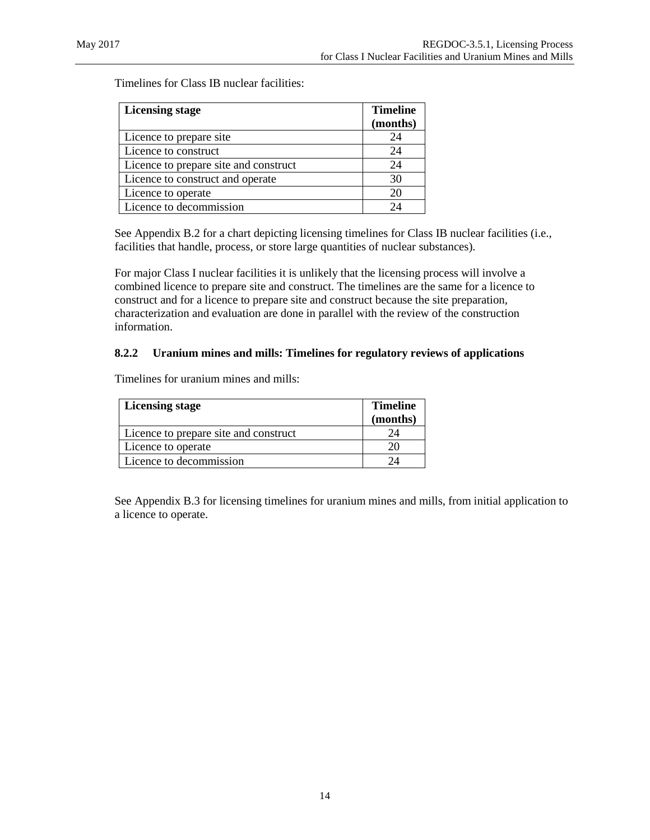Timelines for Class IB nuclear facilities:

| <b>Licensing stage</b>                | <b>Timeline</b> |
|---------------------------------------|-----------------|
|                                       | (months)        |
| Licence to prepare site               | 24              |
| Licence to construct                  | 24              |
| Licence to prepare site and construct | 24              |
| Licence to construct and operate      | 30              |
| Licence to operate                    | 20              |
| Licence to decommission               | 24              |

See Appendix B.2 for a chart depicting licensing timelines for Class IB nuclear facilities (i.e., facilities that handle, process, or store large quantities of nuclear substances).

For major Class I nuclear facilities it is unlikely that the licensing process will involve a combined licence to prepare site and construct. The timelines are the same for a licence to construct and for a licence to prepare site and construct because the site preparation, characterization and evaluation are done in parallel with the review of the construction information.

#### <span id="page-18-0"></span>**8.2.2 Uranium mines and mills: Timelines for regulatory reviews of applications**

Timelines for uranium mines and mills:

| Licensing stage                       | <b>Timeline</b><br>(months) |
|---------------------------------------|-----------------------------|
| Licence to prepare site and construct |                             |
| Licence to operate                    |                             |
| Licence to decommission               |                             |

See Appendix B.3 for licensing timelines for uranium mines and mills, from initial application to a licence to operate.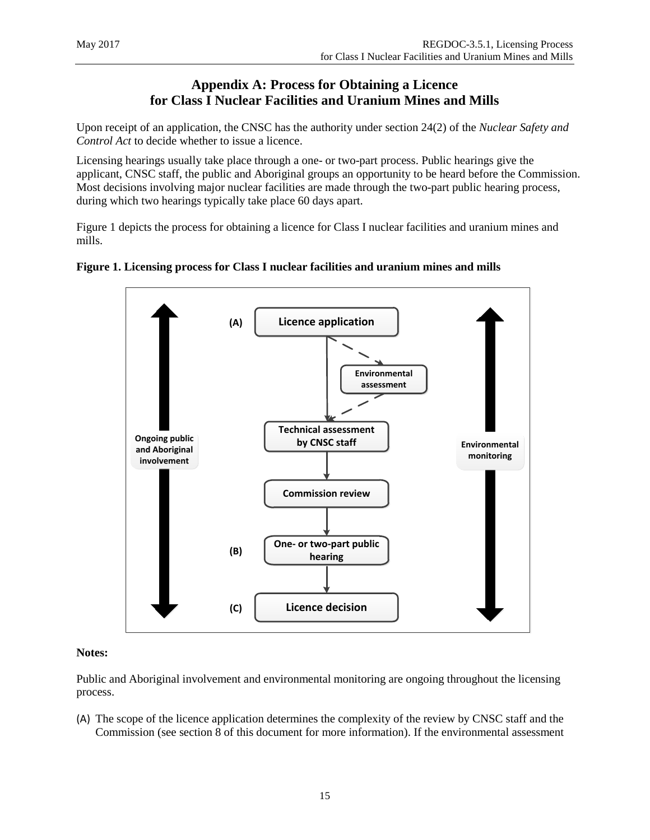# <span id="page-19-0"></span>**Appendix A: Process for Obtaining a Licence for Class I Nuclear Facilities and Uranium Mines and Mills**

Upon receipt of an application, the CNSC has the authority under section 24(2) of the *Nuclear Safety and Control Act* to decide whether to issue a licence.

Licensing hearings usually take place through a one- or two-part process. Public hearings give the applicant, CNSC staff, the public and Aboriginal groups an opportunity to be heard before the Commission. Most decisions involving major nuclear facilities are made through the two-part public hearing process, during which two hearings typically take place 60 days apart.

Figure 1 depicts the process for obtaining a licence for Class I nuclear facilities and uranium mines and mills.





#### **Notes:**

Public and Aboriginal involvement and environmental monitoring are ongoing throughout the licensing process.

(A) The scope of the licence application determines the complexity of the review by CNSC staff and the Commission (see section 8 of this document for more information). If the environmental assessment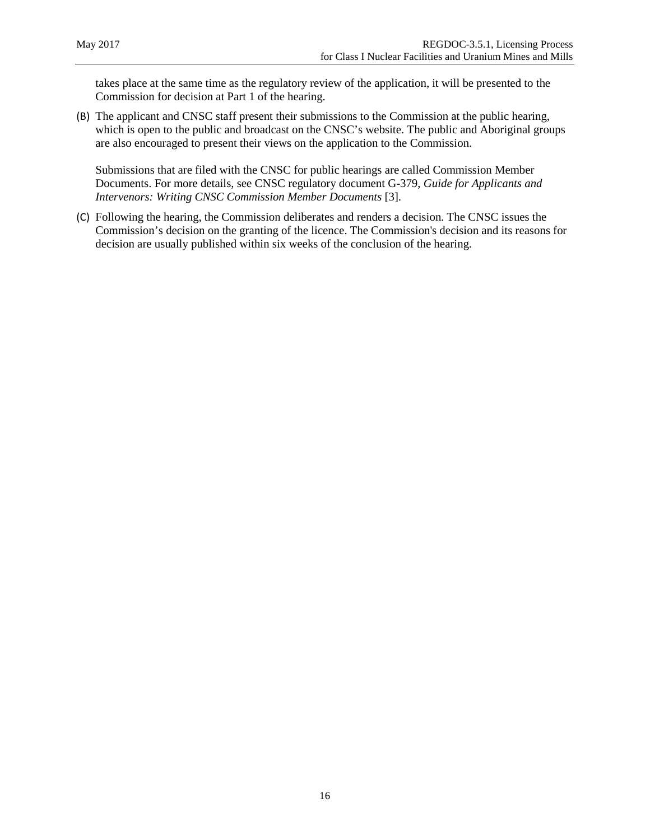takes place at the same time as the regulatory review of the application, it will be presented to the Commission for decision at Part 1 of the hearing.

(B) The applicant and CNSC staff present their submissions to the Commission at the public hearing, which is open to the public and broadcast on the CNSC's website. The public and Aboriginal groups are also encouraged to present their views on the application to the Commission.

Submissions that are filed with the CNSC for public hearings are called Commission Member Documents. For more details, see CNSC regulatory document G-379, *Guide for Applicants and Intervenors: Writing CNSC Commission Member Documents* [3].

(C) Following the hearing, the Commission deliberates and renders a decision. The CNSC issues the Commission's decision on the granting of the licence. The Commission's decision and its reasons for decision are usually published within six weeks of the conclusion of the hearing.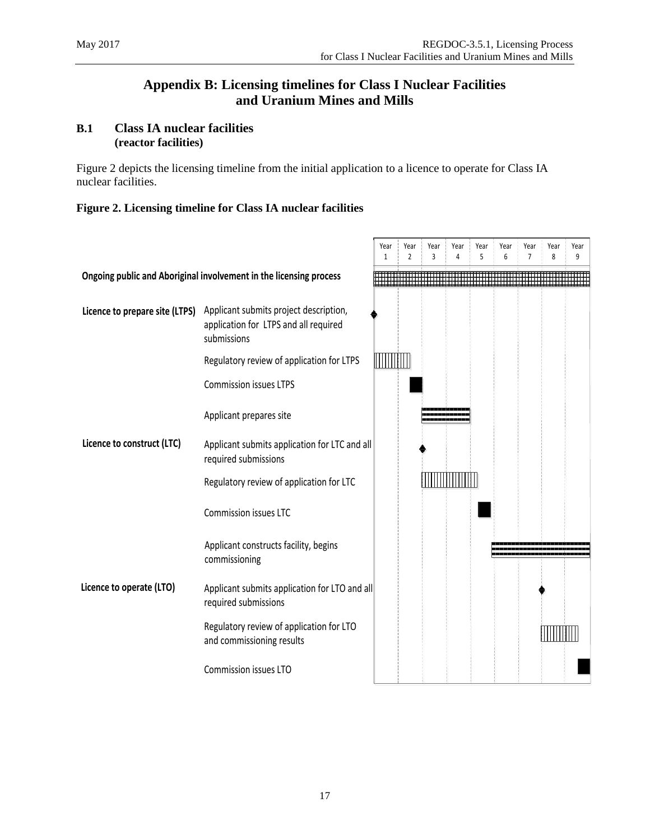# <span id="page-21-0"></span>**Appendix B: Licensing timelines for Class I Nuclear Facilities and Uranium Mines and Mills**

#### <span id="page-21-1"></span>**B.1 Class IA nuclear facilities (reactor facilities)**

Figure 2 depicts the licensing timeline from the initial application to a licence to operate for Class IA nuclear facilities.

#### **Figure 2. Licensing timeline for Class IA nuclear facilities**

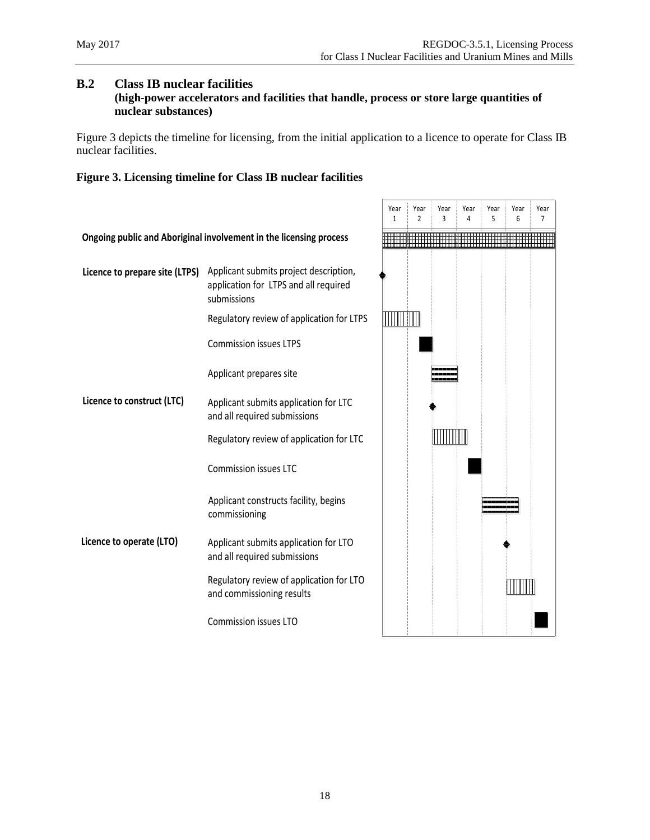#### <span id="page-22-0"></span>**B.2 Class IB nuclear facilities**

#### **(high-power accelerators and facilities that handle, process or store large quantities of nuclear substances)**

Figure 3 depicts the timeline for licensing, from the initial application to a licence to operate for Class IB nuclear facilities.

#### **Figure 3. Licensing timeline for Class IB nuclear facilities**

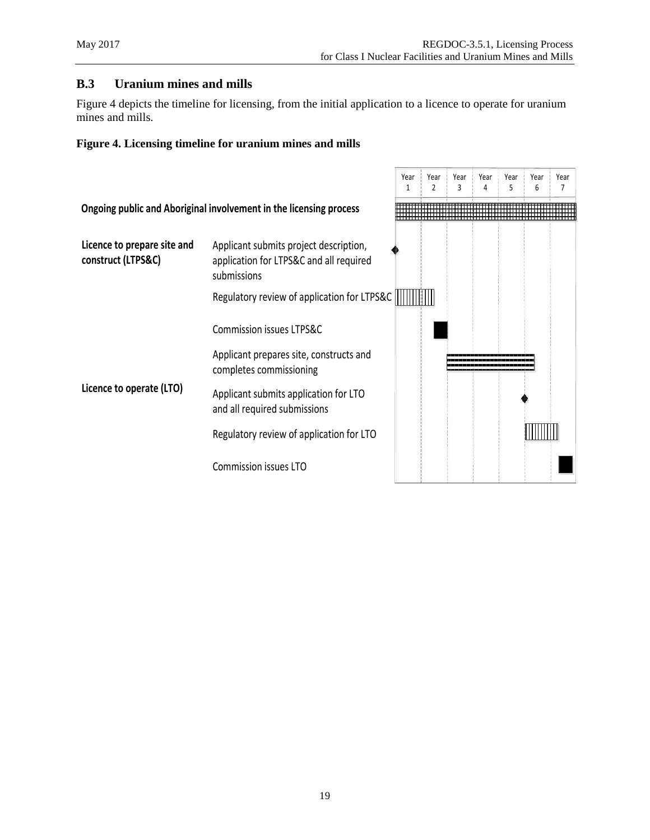#### <span id="page-23-0"></span>**B.3 Uranium mines and mills**

Figure 4 depicts the timeline for licensing, from the initial application to a licence to operate for uranium mines and mills.

#### **Figure 4. Licensing timeline for uranium mines and mills**

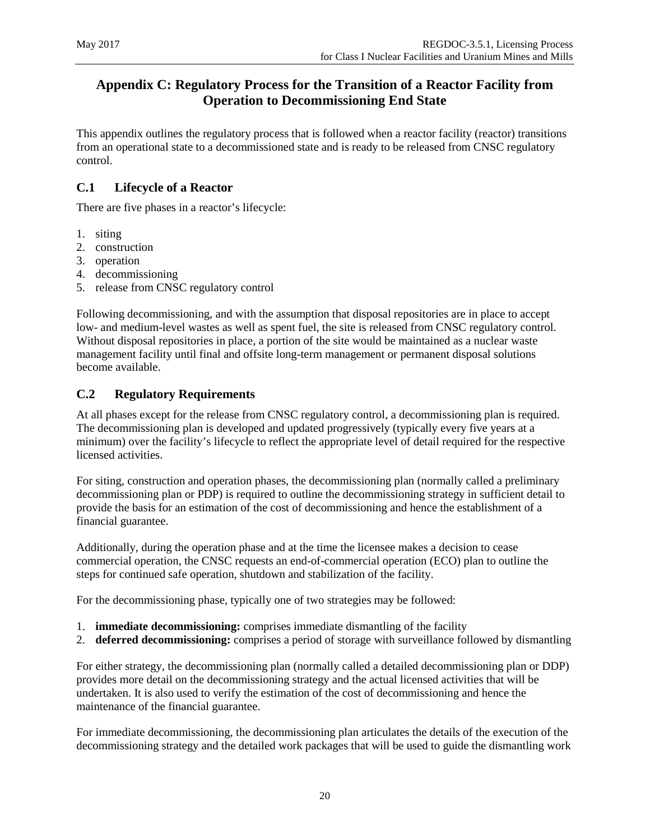# <span id="page-24-0"></span>**Appendix C: Regulatory Process for the Transition of a Reactor Facility from Operation to Decommissioning End State**

This appendix outlines the regulatory process that is followed when a reactor facility (reactor) transitions from an operational state to a decommissioned state and is ready to be released from CNSC regulatory control.

# <span id="page-24-1"></span>**C.1 Lifecycle of a Reactor**

There are five phases in a reactor's lifecycle:

- 1. siting
- 2. construction
- 3. operation
- 4. decommissioning
- 5. release from CNSC regulatory control

Following decommissioning, and with the assumption that disposal repositories are in place to accept low- and medium-level wastes as well as spent fuel, the site is released from CNSC regulatory control. Without disposal repositories in place, a portion of the site would be maintained as a nuclear waste management facility until final and offsite long-term management or permanent disposal solutions become available.

#### <span id="page-24-2"></span>**C.2 Regulatory Requirements**

At all phases except for the release from CNSC regulatory control, a decommissioning plan is required. The decommissioning plan is developed and updated progressively (typically every five years at a minimum) over the facility's lifecycle to reflect the appropriate level of detail required for the respective licensed activities.

For siting, construction and operation phases, the decommissioning plan (normally called a preliminary decommissioning plan or PDP) is required to outline the decommissioning strategy in sufficient detail to provide the basis for an estimation of the cost of decommissioning and hence the establishment of a financial guarantee.

Additionally, during the operation phase and at the time the licensee makes a decision to cease commercial operation, the CNSC requests an end-of-commercial operation (ECO) plan to outline the steps for continued safe operation, shutdown and stabilization of the facility.

For the decommissioning phase, typically one of two strategies may be followed:

- 1. **immediate decommissioning:** comprises immediate dismantling of the facility
- 2. **deferred decommissioning:** comprises a period of storage with surveillance followed by dismantling

For either strategy, the decommissioning plan (normally called a detailed decommissioning plan or DDP) provides more detail on the decommissioning strategy and the actual licensed activities that will be undertaken. It is also used to verify the estimation of the cost of decommissioning and hence the maintenance of the financial guarantee.

For immediate decommissioning, the decommissioning plan articulates the details of the execution of the decommissioning strategy and the detailed work packages that will be used to guide the dismantling work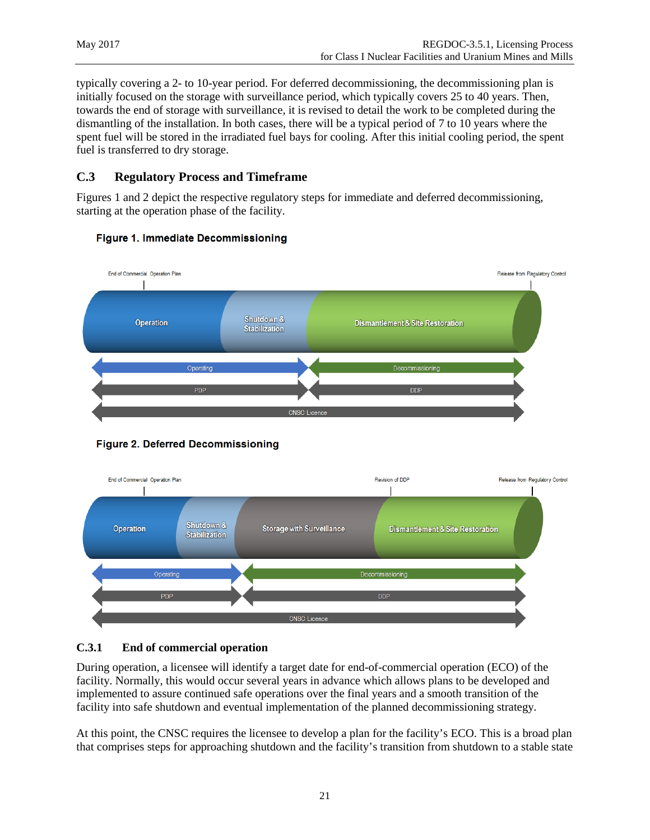typically covering a 2- to 10-year period. For deferred decommissioning, the decommissioning plan is initially focused on the storage with surveillance period, which typically covers 25 to 40 years. Then, towards the end of storage with surveillance, it is revised to detail the work to be completed during the dismantling of the installation. In both cases, there will be a typical period of 7 to 10 years where the spent fuel will be stored in the irradiated fuel bays for cooling. After this initial cooling period, the spent fuel is transferred to dry storage.

# <span id="page-25-0"></span>**C.3 Regulatory Process and Timeframe**

Figures 1 and 2 depict the respective regulatory steps for immediate and deferred decommissioning, starting at the operation phase of the facility.



#### Figure 1. Immediate Decommissioning





### <span id="page-25-1"></span>**C.3.1 End of commercial operation**

During operation, a licensee will identify a target date for end-of-commercial operation (ECO) of the facility. Normally, this would occur several years in advance which allows plans to be developed and implemented to assure continued safe operations over the final years and a smooth transition of the facility into safe shutdown and eventual implementation of the planned decommissioning strategy.

At this point, the CNSC requires the licensee to develop a plan for the facility's ECO. This is a broad plan that comprises steps for approaching shutdown and the facility's transition from shutdown to a stable state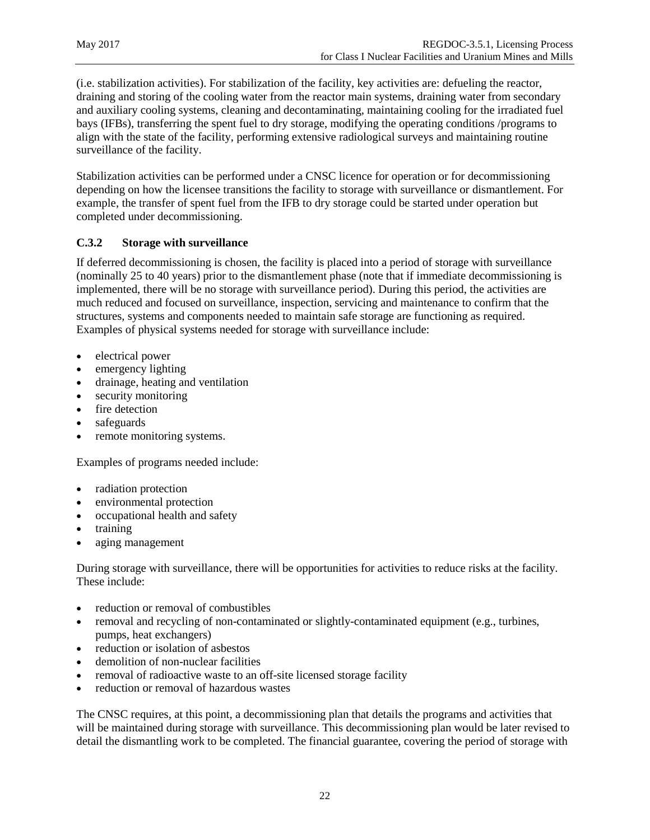(i.e. stabilization activities). For stabilization of the facility, key activities are: defueling the reactor, draining and storing of the cooling water from the reactor main systems, draining water from secondary and auxiliary cooling systems, cleaning and decontaminating, maintaining cooling for the irradiated fuel bays (IFBs), transferring the spent fuel to dry storage, modifying the operating conditions /programs to align with the state of the facility, performing extensive radiological surveys and maintaining routine surveillance of the facility.

Stabilization activities can be performed under a CNSC licence for operation or for decommissioning depending on how the licensee transitions the facility to storage with surveillance or dismantlement. For example, the transfer of spent fuel from the IFB to dry storage could be started under operation but completed under decommissioning.

#### <span id="page-26-0"></span>**C.3.2 Storage with surveillance**

If deferred decommissioning is chosen, the facility is placed into a period of storage with surveillance (nominally 25 to 40 years) prior to the dismantlement phase (note that if immediate decommissioning is implemented, there will be no storage with surveillance period). During this period, the activities are much reduced and focused on surveillance, inspection, servicing and maintenance to confirm that the structures, systems and components needed to maintain safe storage are functioning as required. Examples of physical systems needed for storage with surveillance include:

- electrical power
- emergency lighting
- drainage, heating and ventilation
- security monitoring
- fire detection
- safeguards
- remote monitoring systems.

Examples of programs needed include:

- radiation protection
- environmental protection
- occupational health and safety
- training
- aging management

During storage with surveillance, there will be opportunities for activities to reduce risks at the facility. These include:

- reduction or removal of combustibles
- removal and recycling of non-contaminated or slightly-contaminated equipment (e.g., turbines, pumps, heat exchangers)
- reduction or isolation of asbestos
- demolition of non-nuclear facilities
- removal of radioactive waste to an off-site licensed storage facility
- reduction or removal of hazardous wastes

The CNSC requires, at this point, a decommissioning plan that details the programs and activities that will be maintained during storage with surveillance. This decommissioning plan would be later revised to detail the dismantling work to be completed. The financial guarantee, covering the period of storage with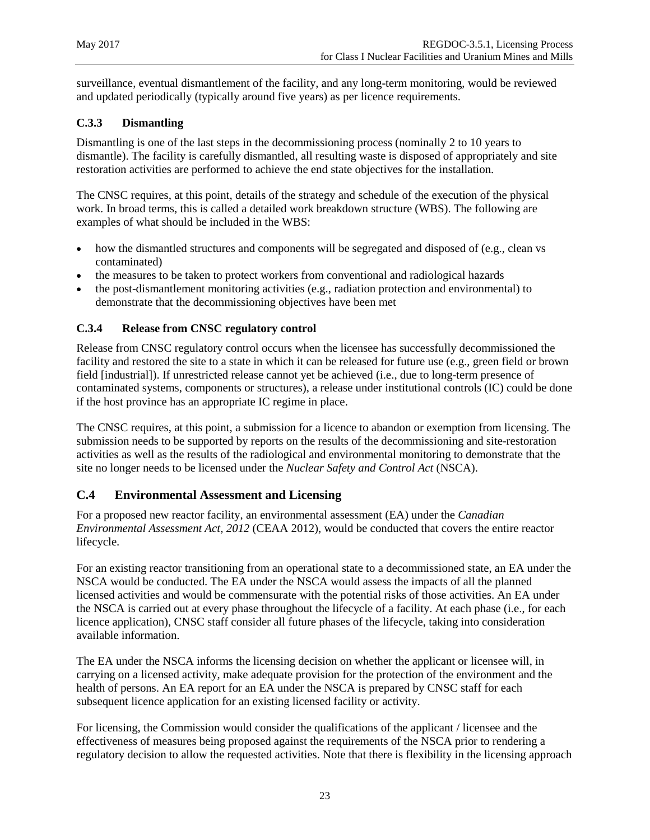surveillance, eventual dismantlement of the facility, and any long-term monitoring, would be reviewed and updated periodically (typically around five years) as per licence requirements.

#### <span id="page-27-0"></span>**C.3.3 Dismantling**

Dismantling is one of the last steps in the decommissioning process (nominally 2 to 10 years to dismantle). The facility is carefully dismantled, all resulting waste is disposed of appropriately and site restoration activities are performed to achieve the end state objectives for the installation.

The CNSC requires, at this point, details of the strategy and schedule of the execution of the physical work. In broad terms, this is called a detailed work breakdown structure (WBS). The following are examples of what should be included in the WBS:

- how the dismantled structures and components will be segregated and disposed of (e.g., clean vs contaminated)
- the measures to be taken to protect workers from conventional and radiological hazards
- the post-dismantlement monitoring activities (e.g., radiation protection and environmental) to demonstrate that the decommissioning objectives have been met

#### <span id="page-27-1"></span>**C.3.4 Release from CNSC regulatory control**

Release from CNSC regulatory control occurs when the licensee has successfully decommissioned the facility and restored the site to a state in which it can be released for future use (e.g., green field or brown field [industrial]). If unrestricted release cannot yet be achieved (i.e., due to long-term presence of contaminated systems, components or structures), a release under institutional controls (IC) could be done if the host province has an appropriate IC regime in place.

The CNSC requires, at this point, a submission for a licence to abandon or exemption from licensing. The submission needs to be supported by reports on the results of the decommissioning and site-restoration activities as well as the results of the radiological and environmental monitoring to demonstrate that the site no longer needs to be licensed under the *Nuclear Safety and Control Act* (NSCA).

#### <span id="page-27-2"></span>**C.4 Environmental Assessment and Licensing**

For a proposed new reactor facility, an environmental assessment (EA) under the *Canadian Environmental Assessment Act, 2012* (CEAA 2012), would be conducted that covers the entire reactor lifecycle.

For an existing reactor transitioning from an operational state to a decommissioned state, an EA under the NSCA would be conducted. The EA under the NSCA would assess the impacts of all the planned licensed activities and would be commensurate with the potential risks of those activities. An EA under the NSCA is carried out at every phase throughout the lifecycle of a facility. At each phase (i.e., for each licence application), CNSC staff consider all future phases of the lifecycle, taking into consideration available information.

The EA under the NSCA informs the licensing decision on whether the applicant or licensee will, in carrying on a licensed activity, make adequate provision for the protection of the environment and the health of persons. An EA report for an EA under the NSCA is prepared by CNSC staff for each subsequent licence application for an existing licensed facility or activity.

For licensing, the Commission would consider the qualifications of the applicant / licensee and the effectiveness of measures being proposed against the requirements of the NSCA prior to rendering a regulatory decision to allow the requested activities. Note that there is flexibility in the licensing approach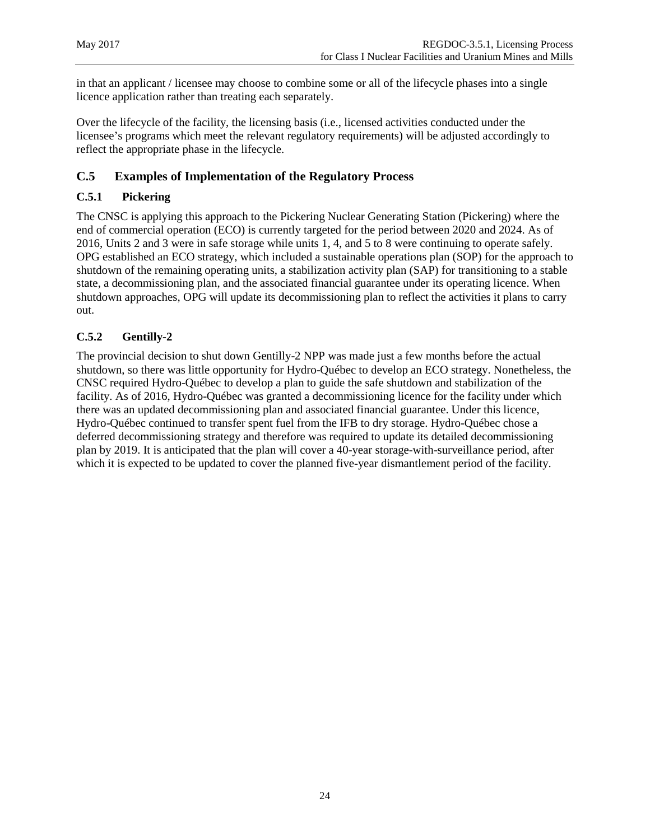in that an applicant / licensee may choose to combine some or all of the lifecycle phases into a single licence application rather than treating each separately.

Over the lifecycle of the facility, the licensing basis (i.e., licensed activities conducted under the licensee's programs which meet the relevant regulatory requirements) will be adjusted accordingly to reflect the appropriate phase in the lifecycle.

#### <span id="page-28-0"></span>**C.5 Examples of Implementation of the Regulatory Process**

#### <span id="page-28-1"></span>**C.5.1 Pickering**

The CNSC is applying this approach to the Pickering Nuclear Generating Station (Pickering) where the end of commercial operation (ECO) is currently targeted for the period between 2020 and 2024. As of 2016, Units 2 and 3 were in safe storage while units 1, 4, and 5 to 8 were continuing to operate safely. OPG established an ECO strategy, which included a sustainable operations plan (SOP) for the approach to shutdown of the remaining operating units, a stabilization activity plan (SAP) for transitioning to a stable state, a decommissioning plan, and the associated financial guarantee under its operating licence. When shutdown approaches, OPG will update its decommissioning plan to reflect the activities it plans to carry out.

#### <span id="page-28-2"></span>**C.5.2 Gentilly-2**

The provincial decision to shut down Gentilly-2 NPP was made just a few months before the actual shutdown, so there was little opportunity for Hydro-Québec to develop an ECO strategy. Nonetheless, the CNSC required Hydro-Québec to develop a plan to guide the safe shutdown and stabilization of the facility. As of 2016, Hydro-Québec was granted a decommissioning licence for the facility under which there was an updated decommissioning plan and associated financial guarantee. Under this licence, Hydro-Québec continued to transfer spent fuel from the IFB to dry storage. Hydro-Québec chose a deferred decommissioning strategy and therefore was required to update its detailed decommissioning plan by 2019. It is anticipated that the plan will cover a 40-year storage-with-surveillance period, after which it is expected to be updated to cover the planned five-year dismantlement period of the facility.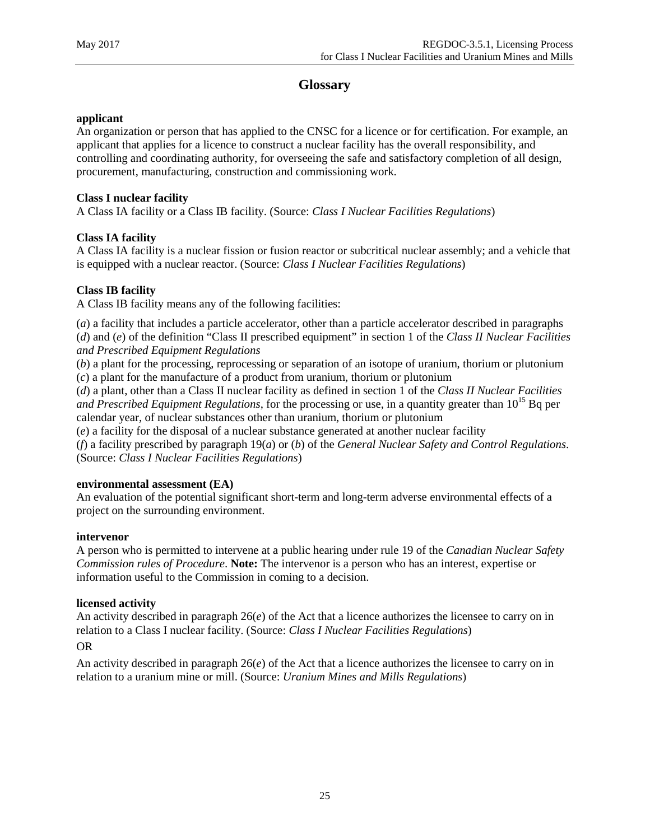# **Glossary**

#### <span id="page-29-0"></span>**applicant**

An organization or person that has applied to the CNSC for a licence or for certification. For example, an applicant that applies for a licence to construct a nuclear facility has the overall responsibility, and controlling and coordinating authority, for overseeing the safe and satisfactory completion of all design, procurement, manufacturing, construction and commissioning work.

#### **Class I nuclear facility**

A Class IA facility or a Class IB facility. (Source: *Class I Nuclear Facilities Regulations*)

#### **Class IA facility**

A Class IA facility is a nuclear fission or fusion reactor or subcritical nuclear assembly; and a vehicle that is equipped with a nuclear reactor. (Source: *Class I Nuclear Facilities Regulations*)

#### **Class IB facility**

A Class IB facility means any of the following facilities:

(*a*) a facility that includes a particle accelerator, other than a particle accelerator described in paragraphs (*d*) and (*e*) of the definition "Class II prescribed equipment" in section 1 of the *Class II Nuclear Facilities and Prescribed Equipment Regulations*

(*b*) a plant for the processing, reprocessing or separation of an isotope of uranium, thorium or plutonium (*c*) a plant for the manufacture of a product from uranium, thorium or plutonium

(*d*) a plant, other than a Class II nuclear facility as defined in section 1 of the *Class II Nuclear Facilities and Prescribed Equipment Regulations*, for the processing or use, in a quantity greater than 10<sup>15</sup> Bq per calendar year, of nuclear substances other than uranium, thorium or plutonium

(*e*) a facility for the disposal of a nuclear substance generated at another nuclear facility

(*f*) a facility prescribed by paragraph 19(*a*) or (*b*) of the *General Nuclear Safety and Control Regulations*. (Source: *Class I Nuclear Facilities Regulations*)

#### **environmental assessment (EA)**

An evaluation of the potential significant short-term and long-term adverse environmental effects of a project on the surrounding environment.

#### **intervenor**

A person who is permitted to intervene at a public hearing under rule 19 of the *Canadian Nuclear Safety Commission rules of Procedure*. **Note:** The intervenor is a person who has an interest, expertise or information useful to the Commission in coming to a decision.

#### **licensed activity**

An activity described in paragraph 26(*e*) of the Act that a licence authorizes the licensee to carry on in relation to a Class I nuclear facility. (Source: *Class I Nuclear Facilities Regulations*)

#### OR

An activity described in paragraph 26(*e*) of the Act that a licence authorizes the licensee to carry on in relation to a uranium mine or mill. (Source: *Uranium Mines and Mills Regulations*)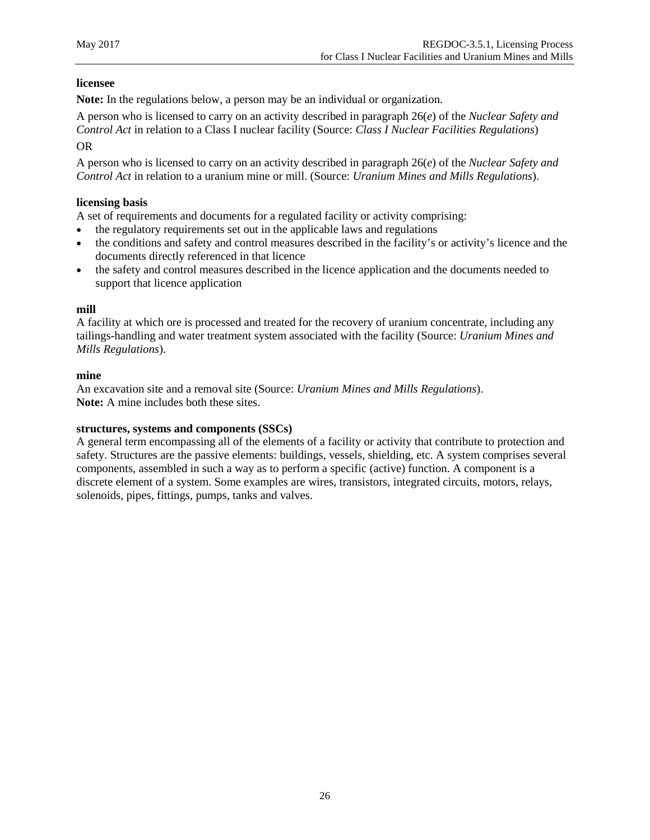#### **licensee**

**Note:** In the regulations below, a person may be an individual or organization.

A person who is licensed to carry on an activity described in paragraph 26(*e*) of the *Nuclear Safety and Control Act* in relation to a Class I nuclear facility (Source: *Class I Nuclear Facilities Regulations*)

OR

A person who is licensed to carry on an activity described in paragraph 26(*e*) of the *Nuclear Safety and Control Act* in relation to a uranium mine or mill. (Source: *Uranium Mines and Mills Regulations*).

#### **licensing basis**

A set of requirements and documents for a regulated facility or activity comprising:

- the regulatory requirements set out in the applicable laws and regulations
- the conditions and safety and control measures described in the facility's or activity's licence and the documents directly referenced in that licence
- the safety and control measures described in the licence application and the documents needed to support that licence application

#### **mill**

A facility at which ore is processed and treated for the recovery of uranium concentrate, including any tailings-handling and water treatment system associated with the facility (Source: *Uranium Mines and Mills Regulations*).

#### **mine**

An excavation site and a removal site (Source: *Uranium Mines and Mills Regulations*). **Note:** A mine includes both these sites.

#### **structures, systems and components (SSCs)**

A general term encompassing all of the elements of a facility or activity that contribute to protection and safety. Structures are the passive elements: buildings, vessels, shielding, etc. A system comprises several components, assembled in such a way as to perform a specific (active) function. A component is a discrete element of a system. Some examples are wires, transistors, integrated circuits, motors, relays, solenoids, pipes, fittings, pumps, tanks and valves.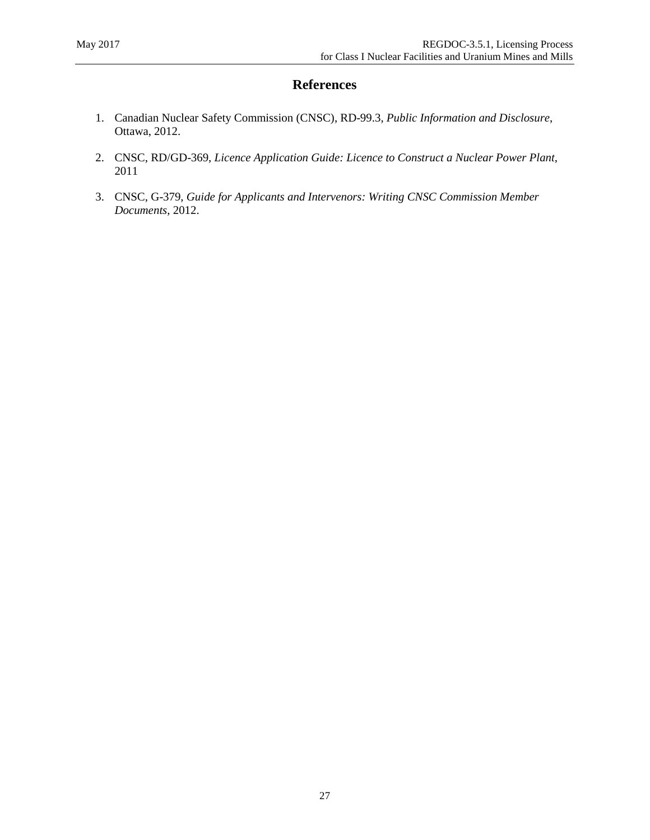# **References**

- <span id="page-31-0"></span>1. Canadian Nuclear Safety Commission (CNSC), RD-99.3, *[Public Information and Disclosure](http://www.nuclearsafety.gc.ca/eng/lawsregs/regulatorydocuments/history/rd_99-3.cfm)*, Ottawa, 2012.
- 2. CNSC, RD/GD-369, *Licence Application Guide: Licence to Construct a Nuclear Power Plant*, 2011
- 3. CNSC, G-379, *Guide for Applicants and Intervenors: Writing CNSC Commission Member Documents*, 2012.